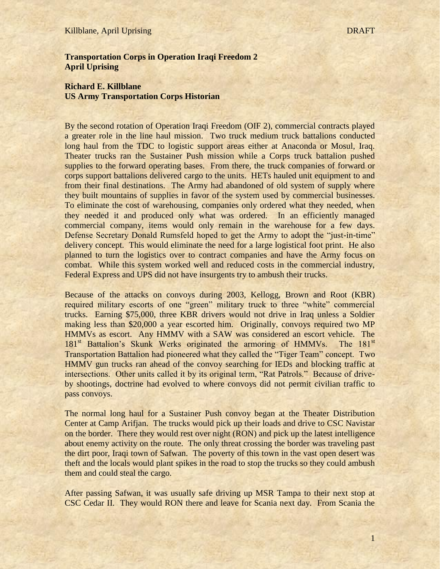#### Killblane, April Uprising DRAFT

# **Transportation Corps in Operation Iraqi Freedom 2 April Uprising**

# **Richard E. Killblane US Army Transportation Corps Historian**

By the second rotation of Operation Iraqi Freedom (OIF 2), commercial contracts played a greater role in the line haul mission. Two truck medium truck battalions conducted long haul from the TDC to logistic support areas either at Anaconda or Mosul, Iraq. Theater trucks ran the Sustainer Push mission while a Corps truck battalion pushed supplies to the forward operating bases. From there, the truck companies of forward or corps support battalions delivered cargo to the units. HETs hauled unit equipment to and from their final destinations. The Army had abandoned of old system of supply where they built mountains of supplies in favor of the system used by commercial businesses. To eliminate the cost of warehousing, companies only ordered what they needed, when they needed it and produced only what was ordered. In an efficiently managed commercial company, items would only remain in the warehouse for a few days. Defense Secretary Donald Rumsfeld hoped to get the Army to adopt the "just-in-time" delivery concept. This would eliminate the need for a large logistical foot print. He also planned to turn the logistics over to contract companies and have the Army focus on combat. While this system worked well and reduced costs in the commercial industry, Federal Express and UPS did not have insurgents try to ambush their trucks.

Because of the attacks on convoys during 2003, Kellogg, Brown and Root (KBR) required military escorts of one "green" military truck to three "white" commercial trucks. Earning \$75,000, three KBR drivers would not drive in Iraq unless a Soldier making less than \$20,000 a year escorted him. Originally, convoys required two MP HMMVs as escort. Any HMMV with a SAW was considered an escort vehicle. The 181<sup>st</sup> Battalion's Skunk Werks originated the armoring of HMMVs. The 181<sup>st</sup> Transportation Battalion had pioneered what they called the "Tiger Team" concept. Two HMMV gun trucks ran ahead of the convoy searching for IEDs and blocking traffic at intersections. Other units called it by its original term, "Rat Patrols." Because of driveby shootings, doctrine had evolved to where convoys did not permit civilian traffic to pass convoys.

The normal long haul for a Sustainer Push convoy began at the Theater Distribution Center at Camp Arifjan. The trucks would pick up their loads and drive to CSC Navistar on the border. There they would rest over night (RON) and pick up the latest intelligence about enemy activity on the route. The only threat crossing the border was traveling past the dirt poor, Iraqi town of Safwan. The poverty of this town in the vast open desert was theft and the locals would plant spikes in the road to stop the trucks so they could ambush them and could steal the cargo.

After passing Safwan, it was usually safe driving up MSR Tampa to their next stop at CSC Cedar II. They would RON there and leave for Scania next day. From Scania the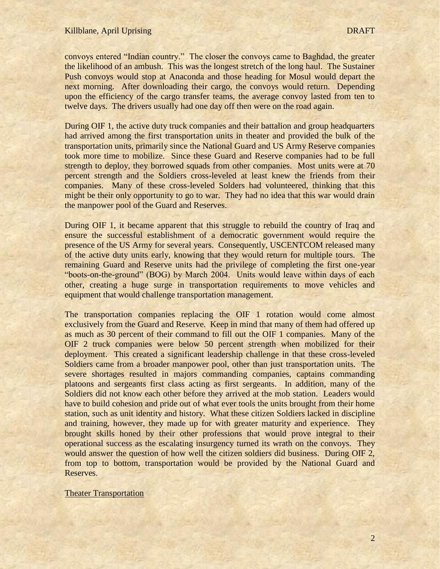convoys entered "Indian country." The closer the convoys came to Baghdad, the greater the likelihood of an ambush. This was the longest stretch of the long haul. The Sustainer Push convoys would stop at Anaconda and those heading for Mosul would depart the next morning. After downloading their cargo, the convoys would return. Depending upon the efficiency of the cargo transfer teams, the average convoy lasted from ten to twelve days. The drivers usually had one day off then were on the road again.

During OIF 1, the active duty truck companies and their battalion and group headquarters had arrived among the first transportation units in theater and provided the bulk of the transportation units, primarily since the National Guard and US Army Reserve companies took more time to mobilize. Since these Guard and Reserve companies had to be full strength to deploy, they borrowed squads from other companies. Most units were at 70 percent strength and the Soldiers cross-leveled at least knew the friends from their companies. Many of these cross-leveled Solders had volunteered, thinking that this might be their only opportunity to go to war. They had no idea that this war would drain the manpower pool of the Guard and Reserves.

During OIF 1, it became apparent that this struggle to rebuild the country of Iraq and ensure the successful establishment of a democratic government would require the presence of the US Army for several years. Consequently, USCENTCOM released many of the active duty units early, knowing that they would return for multiple tours. The remaining Guard and Reserve units had the privilege of completing the first one-year "boots-on-the-ground" (BOG) by March 2004. Units would leave within days of each other, creating a huge surge in transportation requirements to move vehicles and equipment that would challenge transportation management.

The transportation companies replacing the OIF 1 rotation would come almost exclusively from the Guard and Reserve. Keep in mind that many of them had offered up as much as 30 percent of their command to fill out the OIF 1 companies. Many of the OIF 2 truck companies were below 50 percent strength when mobilized for their deployment. This created a significant leadership challenge in that these cross-leveled Soldiers came from a broader manpower pool, other than just transportation units. The severe shortages resulted in majors commanding companies, captains commanding platoons and sergeants first class acting as first sergeants. In addition, many of the Soldiers did not know each other before they arrived at the mob station. Leaders would have to build cohesion and pride out of what ever tools the units brought from their home station, such as unit identity and history. What these citizen Soldiers lacked in discipline and training, however, they made up for with greater maturity and experience. They brought skills honed by their other professions that would prove integral to their operational success as the escalating insurgency turned its wrath on the convoys. They would answer the question of how well the citizen soldiers did business. During OIF 2, from top to bottom, transportation would be provided by the National Guard and Reserves.

#### Theater Transportation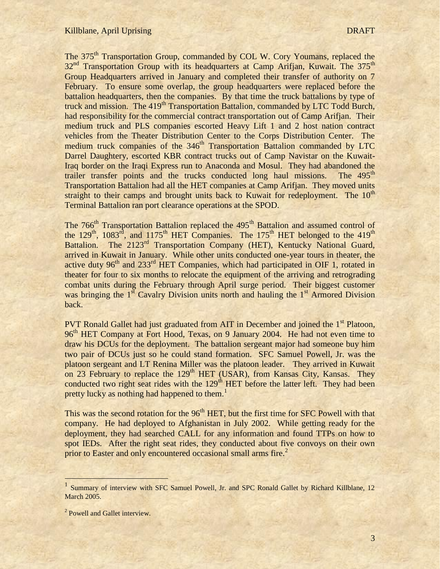The 375<sup>th</sup> Transportation Group, commanded by COL W. Cory Youmans, replaced the  $32<sup>nd</sup>$  Transportation Group with its headquarters at Camp Arifjan, Kuwait. The  $375<sup>th</sup>$ Group Headquarters arrived in January and completed their transfer of authority on 7 February. To ensure some overlap, the group headquarters were replaced before the battalion headquarters, then the companies. By that time the truck battalions by type of truck and mission. The 419<sup>th</sup> Transportation Battalion, commanded by LTC Todd Burch, had responsibility for the commercial contract transportation out of Camp Arifjan. Their medium truck and PLS companies escorted Heavy Lift 1 and 2 host nation contract vehicles from the Theater Distribution Center to the Corps Distribution Center. The medium truck companies of the 346<sup>th</sup> Transportation Battalion commanded by LTC Darrel Daughtery, escorted KBR contract trucks out of Camp Navistar on the Kuwait-Iraq border on the Iraqi Express run to Anaconda and Mosul. They had abandoned the trailer transfer points and the trucks conducted long haul missions. The 495<sup>th</sup> Transportation Battalion had all the HET companies at Camp Arifjan. They moved units straight to their camps and brought units back to Kuwait for redeployment. The  $10<sup>th</sup>$ Terminal Battalion ran port clearance operations at the SPOD.

The 766<sup>th</sup> Transportation Battalion replaced the 495<sup>th</sup> Battalion and assumed control of the  $129<sup>th</sup>$ ,  $1083<sup>rd</sup>$ , and  $1175<sup>th</sup>$  HET Companies. The  $175<sup>th</sup>$  HET belonged to the  $419<sup>th</sup>$ Battalion. The 2123<sup>rd</sup> Transportation Company (HET), Kentucky National Guard, arrived in Kuwait in January. While other units conducted one-year tours in theater, the active duty  $96<sup>th</sup>$  and  $233<sup>rd</sup>$  HET Companies, which had participated in OIF 1, rotated in theater for four to six months to relocate the equipment of the arriving and retrograding combat units during the February through April surge period. Their biggest customer was bringing the  $1<sup>st</sup>$  Cavalry Division units north and hauling the  $1<sup>st</sup>$  Armored Division back.

PVT Ronald Gallet had just graduated from AIT in December and joined the 1<sup>st</sup> Platoon, 96<sup>th</sup> HET Company at Fort Hood, Texas, on 9 January 2004. He had not even time to draw his DCUs for the deployment. The battalion sergeant major had someone buy him two pair of DCUs just so he could stand formation. SFC Samuel Powell, Jr. was the platoon sergeant and LT Renina Miller was the platoon leader. They arrived in Kuwait on 23 February to replace the  $129<sup>th</sup> HET$  (USAR), from Kansas City, Kansas. They conducted two right seat rides with the  $129<sup>th</sup> HET$  before the latter left. They had been pretty lucky as nothing had happened to them.<sup>1</sup>

This was the second rotation for the 96<sup>th</sup> HET, but the first time for SFC Powell with that company. He had deployed to Afghanistan in July 2002. While getting ready for the deployment, they had searched CALL for any information and found TTPs on how to spot IEDs. After the right seat rides, they conducted about five convoys on their own prior to Easter and only encountered occasional small arms fire.<sup>2</sup>

<sup>&</sup>lt;sup>1</sup> Summary of interview with SFC Samuel Powell, Jr. and SPC Ronald Gallet by Richard Killblane, 12 **March 2005.** 

<sup>&</sup>lt;sup>2</sup> Powell and Gallet interview.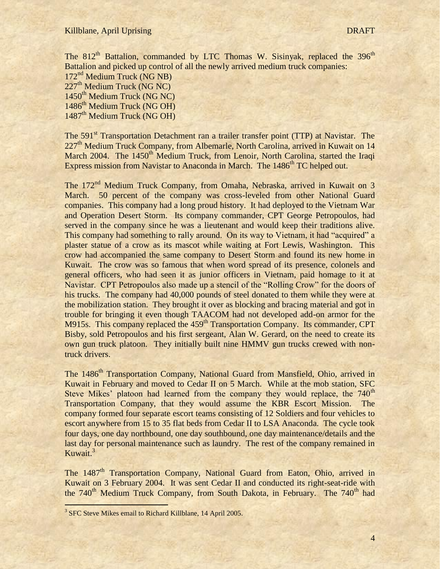The  $812<sup>th</sup>$  Battalion, commanded by LTC Thomas W. Sisinyak, replaced the  $396<sup>th</sup>$ Battalion and picked up control of all the newly arrived medium truck companies:

172nd Medium Truck (NG NB)  $227<sup>th</sup>$  Medium Truck (NG NC)  $1450^{\text{th}}$  Medium Truck (NG NC) 1486<sup>th</sup> Medium Truck (NG OH) 1487<sup>th</sup> Medium Truck (NG OH)

The 591<sup>st</sup> Transportation Detachment ran a trailer transfer point (TTP) at Navistar. The 227<sup>th</sup> Medium Truck Company, from Albemarle, North Carolina, arrived in Kuwait on 14 March 2004. The 1450<sup>th</sup> Medium Truck, from Lenoir, North Carolina, started the Iraqi Express mission from Navistar to Anaconda in March. The 1486<sup>th</sup> TC helped out.

The 172<sup>nd</sup> Medium Truck Company, from Omaha, Nebraska, arrived in Kuwait on 3 March. 50 percent of the company was cross-leveled from other National Guard companies. This company had a long proud history. It had deployed to the Vietnam War and Operation Desert Storm. Its company commander, CPT George Petropoulos, had served in the company since he was a lieutenant and would keep their traditions alive. This company had something to rally around. On its way to Vietnam, it had "acquired" a plaster statue of a crow as its mascot while waiting at Fort Lewis, Washington. This crow had accompanied the same company to Desert Storm and found its new home in Kuwait. The crow was so famous that when word spread of its presence, colonels and general officers, who had seen it as junior officers in Vietnam, paid homage to it at Navistar. CPT Petropoulos also made up a stencil of the "Rolling Crow" for the doors of his trucks. The company had 40,000 pounds of steel donated to them while they were at the mobilization station. They brought it over as blocking and bracing material and got in trouble for bringing it even though TAACOM had not developed add-on armor for the M915s. This company replaced the 459<sup>th</sup> Transportation Company. Its commander, CPT Bisby, sold Petropoulos and his first sergeant, Alan W. Gerard, on the need to create its own gun truck platoon. They initially built nine HMMV gun trucks crewed with nontruck drivers.

The 1486<sup>th</sup> Transportation Company, National Guard from Mansfield, Ohio, arrived in Kuwait in February and moved to Cedar II on 5 March. While at the mob station, SFC Steve Mikes' platoon had learned from the company they would replace, the 740<sup>th</sup> Transportation Company, that they would assume the KBR Escort Mission. The company formed four separate escort teams consisting of 12 Soldiers and four vehicles to escort anywhere from 15 to 35 flat beds from Cedar II to LSA Anaconda. The cycle took four days, one day northbound, one day southbound, one day maintenance/details and the last day for personal maintenance such as laundry. The rest of the company remained in Kuwait.<sup>3</sup>

The 1487<sup>th</sup> Transportation Company, National Guard from Eaton, Ohio, arrived in Kuwait on 3 February 2004. It was sent Cedar II and conducted its right-seat-ride with the 740<sup>th</sup> Medium Truck Company, from South Dakota, in February. The 740<sup>th</sup> had

<sup>&</sup>lt;sup>3</sup> SFC Steve Mikes email to Richard Killblane, 14 April 2005.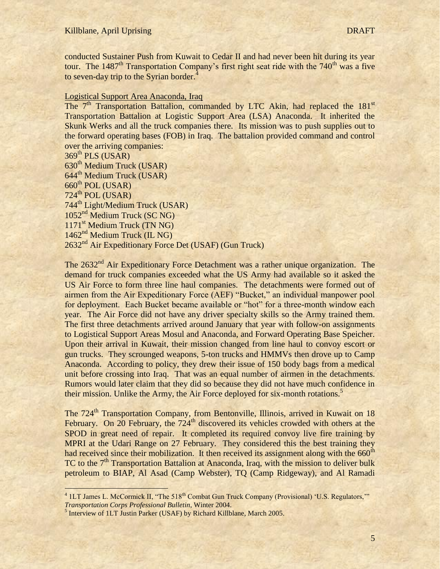conducted Sustainer Push from Kuwait to Cedar II and had never been hit during its year tour. The  $1487<sup>th</sup>$  Transportation Company's first right seat ride with the  $740<sup>th</sup>$  was a five to seven-day trip to the Syrian border. $4$ 

# Logistical Support Area Anaconda, Iraq

The 7<sup>th</sup> Transportation Battalion, commanded by LTC Akin, had replaced the 181<sup>st</sup> Transportation Battalion at Logistic Support Area (LSA) Anaconda. It inherited the Skunk Werks and all the truck companies there. Its mission was to push supplies out to the forward operating bases (FOB) in Iraq. The battalion provided command and control over the arriving companies:

 $369^{\text{th}}$  PLS (USAR)  $630<sup>th</sup>$  Medium Truck (USAR) 644<sup>th</sup> Medium Truck (USAR)  $660$ <sup>th</sup> POL (USAR)  $724^{\text{th}}$  POL (USAR) 744th Light/Medium Truck (USAR) 1052nd Medium Truck (SC NG) 1171<sup>st</sup> Medium Truck (TN NG) 1462<sup>nd</sup> Medium Truck (IL NG) 2632<sup>nd</sup> Air Expeditionary Force Det (USAF) (Gun Truck)

The 2632<sup>nd</sup> Air Expeditionary Force Detachment was a rather unique organization. The demand for truck companies exceeded what the US Army had available so it asked the US Air Force to form three line haul companies. The detachments were formed out of airmen from the Air Expeditionary Force (AEF) "Bucket," an individual manpower pool for deployment. Each Bucket became available or "hot" for a three-month window each year. The Air Force did not have any driver specialty skills so the Army trained them. The first three detachments arrived around January that year with follow-on assignments to Logistical Support Areas Mosul and Anaconda, and Forward Operating Base Speicher. Upon their arrival in Kuwait, their mission changed from line haul to convoy escort or gun trucks. They scrounged weapons, 5-ton trucks and HMMVs then drove up to Camp Anaconda. According to policy, they drew their issue of 150 body bags from a medical unit before crossing into Iraq. That was an equal number of airmen in the detachments. Rumors would later claim that they did so because they did not have much confidence in their mission. Unlike the Army, the Air Force deployed for six-month rotations.<sup>5</sup>

The 724<sup>th</sup> Transportation Company, from Bentonville, Illinois, arrived in Kuwait on 18 February. On 20 February, the  $724<sup>th</sup>$  discovered its vehicles crowded with others at the SPOD in great need of repair. It completed its required convoy live fire training by MPRI at the Udari Range on 27 February. They considered this the best training they had received since their mobilization. It then received its assignment along with the 660<sup>th</sup> TC to the  $7<sup>th</sup>$  Transportation Battalion at Anaconda, Iraq, with the mission to deliver bulk petroleum to BIAP, Al Asad (Camp Webster), TQ (Camp Ridgeway), and Al Ramadi

<sup>4&</sup>lt;br>
<sup>4</sup> 1LT James L. McCormick II, "The 518<sup>th</sup> Combat Gun Truck Company (Provisional) 'U.S. Regulators,"" *Transportation Corps Professional Bulletin*, Winter 2004.

<sup>&</sup>lt;sup>5</sup> Interview of 1LT Justin Parker (USAF) by Richard Killblane, March 2005.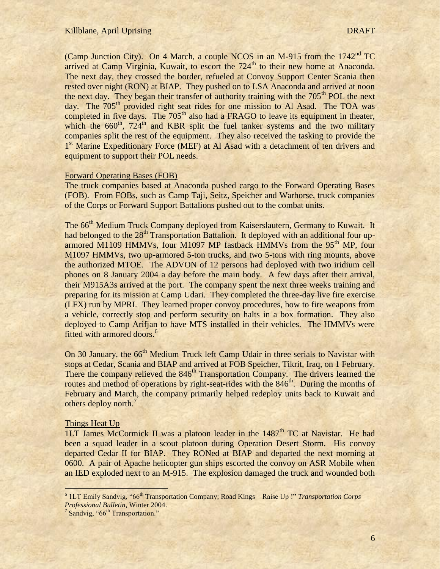#### Killblane, April Uprising DRAFT

(Camp Junction City). On 4 March, a couple NCOS in an M-915 from the  $1742<sup>nd</sup>$  TC arrived at Camp Virginia, Kuwait, to escort the  $724<sup>th</sup>$  to their new home at Anaconda. The next day, they crossed the border, refueled at Convoy Support Center Scania then rested over night (RON) at BIAP. They pushed on to LSA Anaconda and arrived at noon the next day. They began their transfer of authority training with the  $705<sup>th</sup>$  POL the next day. The 705<sup>th</sup> provided right seat rides for one mission to Al Asad. The TOA was completed in five days. The  $705<sup>th</sup>$  also had a FRAGO to leave its equipment in theater, which the  $660<sup>th</sup>$ ,  $724<sup>th</sup>$  and KBR split the fuel tanker systems and the two military companies split the rest of the equipment. They also received the tasking to provide the 1<sup>st</sup> Marine Expeditionary Force (MEF) at Al Asad with a detachment of ten drivers and equipment to support their POL needs.

### Forward Operating Bases (FOB)

The truck companies based at Anaconda pushed cargo to the Forward Operating Bases (FOB). From FOBs, such as Camp Taji, Seitz, Speicher and Warhorse, truck companies of the Corps or Forward Support Battalions pushed out to the combat units.

The 66<sup>th</sup> Medium Truck Company deployed from Kaiserslautern, Germany to Kuwait. It had belonged to the 28<sup>th</sup> Transportation Battalion. It deployed with an additional four uparmored M1109 HMMVs, four M1097 MP fastback HMMVs from the  $95<sup>th</sup>$  MP, four M1097 HMMVs, two up-armored 5-ton trucks, and two 5-tons with ring mounts, above the authorized MTOE. The ADVON of 12 persons had deployed with two iridium cell phones on 8 January 2004 a day before the main body. A few days after their arrival, their M915A3s arrived at the port. The company spent the next three weeks training and preparing for its mission at Camp Udari. They completed the three-day live fire exercise (LFX) run by MPRI. They learned proper convoy procedures, how to fire weapons from a vehicle, correctly stop and perform security on halts in a box formation. They also deployed to Camp Arifjan to have MTS installed in their vehicles. The HMMVs were fitted with armored doors.<sup>6</sup>

On 30 January, the 66<sup>th</sup> Medium Truck left Camp Udair in three serials to Navistar with stops at Cedar, Scania and BIAP and arrived at FOB Speicher, Tikrit, Iraq, on 1 February. There the company relieved the 846<sup>th</sup> Transportation Company. The drivers learned the routes and method of operations by right-seat-rides with the 846<sup>th</sup>. During the months of February and March, the company primarily helped redeploy units back to Kuwait and others deploy north.<sup>7</sup>

### Things Heat Up

l

1LT James McCormick II was a platoon leader in the  $1487<sup>th</sup>$  TC at Navistar. He had been a squad leader in a scout platoon during Operation Desert Storm. His convoy departed Cedar II for BIAP. They RONed at BIAP and departed the next morning at 0600. A pair of Apache helicopter gun ships escorted the convoy on ASR Mobile when an IED exploded next to an M-915. The explosion damaged the truck and wounded both

<sup>&</sup>lt;sup>6</sup> 1LT Emily Sandvig, "66<sup>th</sup> Transportation Company; Road Kings - Raise Up !" *Transportation Corps Professional Bulletin*, Winter 2004.

 $7$  Sandvig, "66<sup>th</sup> Transportation."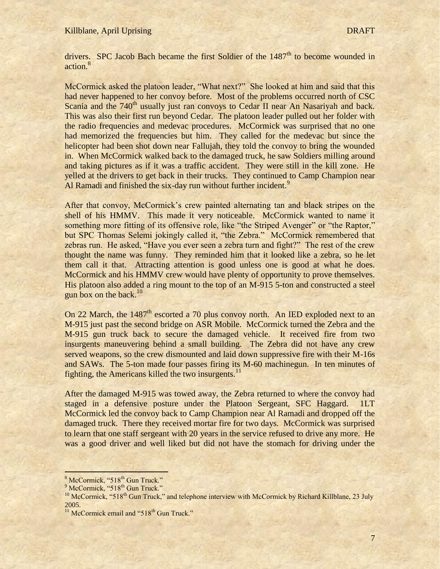drivers. SPC Jacob Bach became the first Soldier of the  $1487<sup>th</sup>$  to become wounded in action.<sup>8</sup>

McCormick asked the platoon leader, "What next?" She looked at him and said that this had never happened to her convoy before. Most of the problems occurred north of CSC Scania and the  $740<sup>th</sup>$  usually just ran convoys to Cedar II near An Nasariyah and back. This was also their first run beyond Cedar. The platoon leader pulled out her folder with the radio frequencies and medevac procedures. McCormick was surprised that no one had memorized the frequencies but him. They called for the medevac but since the helicopter had been shot down near Fallujah, they told the convoy to bring the wounded in. When McCormick walked back to the damaged truck, he saw Soldiers milling around and taking pictures as if it was a traffic accident. They were still in the kill zone. He yelled at the drivers to get back in their trucks. They continued to Camp Champion near Al Ramadi and finished the six-day run without further incident.<sup>9</sup>

After that convoy, McCormick's crew painted alternating tan and black stripes on the shell of his HMMV. This made it very noticeable. McCormick wanted to name it something more fitting of its offensive role, like "the Striped Avenger" or "the Raptor," but SPC Thomas Selemi jokingly called it, "the Zebra." McCormick remembered that zebras run. He asked, "Have you ever seen a zebra turn and fight?" The rest of the crew thought the name was funny. They reminded him that it looked like a zebra, so he let them call it that. Attracting attention is good unless one is good at what he does. McCormick and his HMMV crew would have plenty of opportunity to prove themselves. His platoon also added a ring mount to the top of an M-915 5-ton and constructed a steel gun box on the back. $10$ 

On 22 March, the  $1487<sup>th</sup>$  escorted a 70 plus convoy north. An IED exploded next to an M-915 just past the second bridge on ASR Mobile. McCormick turned the Zebra and the M-915 gun truck back to secure the damaged vehicle. It received fire from two insurgents maneuvering behind a small building. The Zebra did not have any crew served weapons, so the crew dismounted and laid down suppressive fire with their M-16s and SAWs. The 5-ton made four passes firing its M-60 machinegun. In ten minutes of fighting, the Americans killed the two insurgents.<sup>11</sup>

After the damaged M-915 was towed away, the Zebra returned to where the convoy had staged in a defensive posture under the Platoon Sergeant, SFC Haggard. 1LT McCormick led the convoy back to Camp Champion near Al Ramadi and dropped off the damaged truck. There they received mortar fire for two days. McCormick was surprised to learn that one staff sergeant with 20 years in the service refused to drive any more. He was a good driver and well liked but did not have the stomach for driving under the

 $8$  McCormick, "518<sup>th</sup> Gun Truck."

<sup>&</sup>lt;sup>9</sup> McCormick, "518<sup>th</sup> Gun Truck."

<sup>&</sup>lt;sup>10</sup> McCormick, "518<sup>th</sup> Gun Truck," and telephone interview with McCormick by Richard Killblane, 23 July 2005.

 $11$  McCormick email and "518<sup>th</sup> Gun Truck."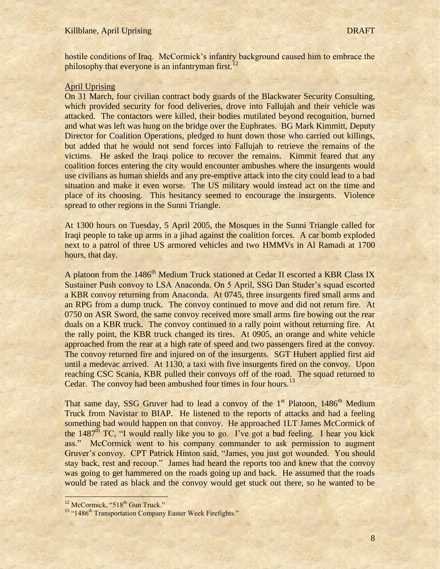hostile conditions of Iraq. McCormick's infantry background caused him to embrace the philosophy that everyone is an infantryman first.<sup>12</sup>

# April Uprising

On 31 March, four civilian contract body guards of the Blackwater Security Consulting, which provided security for food deliveries, drove into Fallujah and their vehicle was attacked. The contactors were killed, their bodies mutilated beyond recognition, burned and what was left was hung on the bridge over the Euphrates. BG Mark Kimmitt, Deputy Director for Coalition Operations, pledged to hunt down those who carried out killings, but added that he would not send forces into Fallujah to retrieve the remains of the victims. He asked the Iraqi police to recover the remains. Kimmit feared that any coalition forces entering the city would encounter ambushes where the insurgents would use civilians as human shields and any pre-emptive attack into the city could lead to a bad situation and make it even worse. The US military would instead act on the time and place of its choosing. This hesitancy seemed to encourage the insurgents. Violence spread to other regions in the Sunni Triangle.

At 1300 hours on Tuesday, 5 April 2005, the Mosques in the Sunni Triangle called for Iraqi people to take up arms in a jihad against the coalition forces. A car bomb exploded next to a patrol of three US armored vehicles and two HMMVs in Al Ramadi at 1700 hours, that day.

A platoon from the 1486<sup>th</sup> Medium Truck stationed at Cedar II escorted a KBR Class IX Sustainer Push convoy to LSA Anaconda. On 5 April, SSG Dan Studer's squad escorted a KBR convoy returning from Anaconda. At 0745, three insurgents fired small arms and an RPG from a dump truck. The convoy continued to move and did not return fire. At 0750 on ASR Sword, the same convoy received more small arms fire bowing out the rear duals on a KBR truck. The convoy continued to a rally point without returning fire. At the rally point, the KBR truck changed its tires. At 0905, an orange and white vehicle approached from the rear at a high rate of speed and two passengers fired at the convoy. The convoy returned fire and injured on of the insurgents. SGT Hubert applied first aid until a medevac arrived. At 1130, a taxi with five insurgents fired on the convoy. Upon reaching CSC Scania, KBR pulled their convoys off of the road. The squad returned to Cedar. The convoy had been ambushed four times in four hours.<sup>13</sup>

That same day, SSG Gruver had to lead a convoy of the  $1<sup>st</sup>$  Platoon,  $1486<sup>th</sup>$  Medium Truck from Navistar to BIAP. He listened to the reports of attacks and had a feeling something bad would happen on that convoy. He approached 1LT James McCormick of the  $1487<sup>th</sup> TC$ , "I would really like you to go. I've got a bad feeling. I hear you kick ass." McCormick went to his company commander to ask permission to augment Gruver's convoy. CPT Patrick Hinton said, "James, you just got wounded. You should stay back, rest and recoup." James had heard the reports too and knew that the convoy was going to get hammered on the roads going up and back. He assumed that the roads would be rated as black and the convoy would get stuck out there, so he wanted to be

<sup>&</sup>lt;sup>12</sup> McCormick, "518<sup>th</sup> Gun Truck."

<sup>&</sup>lt;sup>13</sup> "1486<sup>th</sup> Transportation Company Easter Week Firefights."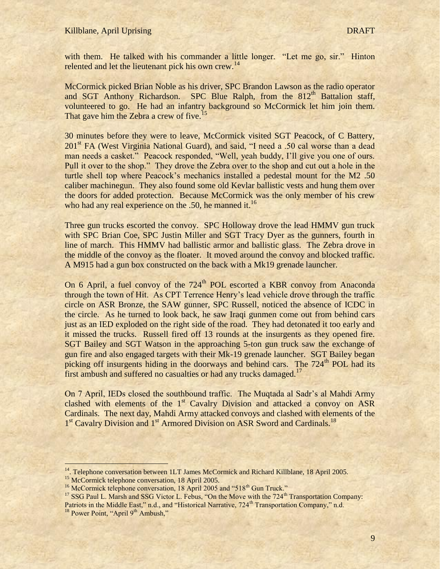with them. He talked with his commander a little longer. "Let me go, sir." Hinton relented and let the lieutenant pick his own crew.<sup>14</sup>

McCormick picked Brian Noble as his driver, SPC Brandon Lawson as the radio operator and SGT Anthony Richardson. SPC Blue Ralph, from the  $812<sup>th</sup>$  Battalion staff, volunteered to go. He had an infantry background so McCormick let him join them. That gave him the Zebra a crew of five.<sup>15</sup>

30 minutes before they were to leave, McCormick visited SGT Peacock, of C Battery, 201st FA (West Virginia National Guard), and said, "I need a .50 cal worse than a dead man needs a casket." Peacock responded, "Well, yeah buddy, I"ll give you one of ours. Pull it over to the shop." They drove the Zebra over to the shop and cut out a hole in the turtle shell top where Peacock"s mechanics installed a pedestal mount for the M2 .50 caliber machinegun. They also found some old Kevlar ballistic vests and hung them over the doors for added protection. Because McCormick was the only member of his crew who had any real experience on the .50, he manned it.<sup>16</sup>

Three gun trucks escorted the convoy. SPC Holloway drove the lead HMMV gun truck with SPC Brian Coe, SPC Justin Miller and SGT Tracy Dyer as the gunners, fourth in line of march. This HMMV had ballistic armor and ballistic glass. The Zebra drove in the middle of the convoy as the floater. It moved around the convoy and blocked traffic. A M915 had a gun box constructed on the back with a Mk19 grenade launcher.

On 6 April, a fuel convoy of the 724<sup>th</sup> POL escorted a KBR convoy from Anaconda through the town of Hit. As CPT Terrence Henry"s lead vehicle drove through the traffic circle on ASR Bronze, the SAW gunner, SPC Russell, noticed the absence of ICDC in the circle. As he turned to look back, he saw Iraqi gunmen come out from behind cars just as an IED exploded on the right side of the road. They had detonated it too early and it missed the trucks. Russell fired off 13 rounds at the insurgents as they opened fire. SGT Bailey and SGT Watson in the approaching 5-ton gun truck saw the exchange of gun fire and also engaged targets with their Mk-19 grenade launcher. SGT Bailey began picking off insurgents hiding in the doorways and behind cars. The  $724<sup>th</sup>$  POL had its first ambush and suffered no casualties or had any trucks damaged.<sup>17</sup>

On 7 April, IEDs closed the southbound traffic. The Muqtada al Sadr"s al Mahdi Army clashed with elements of the  $1<sup>st</sup>$  Cavalry Division and attacked a convoy on ASR Cardinals. The next day, Mahdi Army attacked convoys and clashed with elements of the 1<sup>st</sup> Cavalry Division and 1<sup>st</sup> Armored Division on ASR Sword and Cardinals.<sup>18</sup>

<sup>14.</sup> Telephone conversation between 1LT James McCormick and Richard Killblane, 18 April 2005.

<sup>&</sup>lt;sup>15</sup> McCormick telephone conversation, 18 April 2005.

 $16$  McCormick telephone conversation, 18 April 2005 and "518<sup>th</sup> Gun Truck."

<sup>&</sup>lt;sup>17</sup> SSG Paul L. Marsh and SSG Victor L. Febus, "On the Move with the 724<sup>th</sup> Transportation Company: Patriots in the Middle East," n.d., and "Historical Narrative, 724<sup>th</sup> Transportation Company," n.d.  $18$  Power Point, "April 9<sup>th</sup> Ambush,"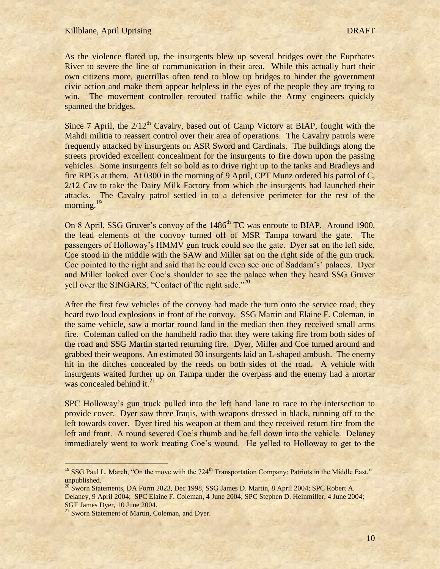As the violence flared up, the insurgents blew up several bridges over the Euprhates River to severe the line of communication in their area. While this actually hurt their own citizens more, guerrillas often tend to blow up bridges to hinder the government civic action and make them appear helpless in the eyes of the people they are trying to win. The movement controller rerouted traffic while the Army engineers quickly spanned the bridges.

Since 7 April, the  $2/12<sup>th</sup>$  Cavalry, based out of Camp Victory at BIAP, fought with the Mahdi militia to reassert control over their area of operations. The Cavalry patrols were frequently attacked by insurgents on ASR Sword and Cardinals. The buildings along the streets provided excellent concealment for the insurgents to fire down upon the passing vehicles. Some insurgents felt so bold as to drive right up to the tanks and Bradleys and fire RPGs at them. At 0300 in the morning of 9 April, CPT Munz ordered his patrol of C, 2/12 Cav to take the Dairy Milk Factory from which the insurgents had launched their attacks. The Cavalry patrol settled in to a defensive perimeter for the rest of the morning.<sup>19</sup>

On 8 April, SSG Gruver's convoy of the 1486<sup>th</sup> TC was enroute to BIAP. Around 1900, the lead elements of the convoy turned off of MSR Tampa toward the gate. The passengers of Holloway"s HMMV gun truck could see the gate. Dyer sat on the left side, Coe stood in the middle with the SAW and Miller sat on the right side of the gun truck. Coe pointed to the right and said that he could even see one of Saddam"s" palaces. Dyer and Miller looked over Coe's shoulder to see the palace when they heard SSG Gruver yell over the SINGARS, "Contact of the right side."<sup>20</sup>

After the first few vehicles of the convoy had made the turn onto the service road, they heard two loud explosions in front of the convoy. SSG Martin and Elaine F. Coleman, in the same vehicle, saw a mortar round land in the median then they received small arms fire. Coleman called on the handheld radio that they were taking fire from both sides of the road and SSG Martin started returning fire. Dyer, Miller and Coe turned around and grabbed their weapons. An estimated 30 insurgents laid an L-shaped ambush. The enemy hit in the ditches concealed by the reeds on both sides of the road. A vehicle with insurgents waited further up on Tampa under the overpass and the enemy had a mortar was concealed behind it. $^{21}$ 

SPC Holloway"s gun truck pulled into the left hand lane to race to the intersection to provide cover. Dyer saw three Iraqis, with weapons dressed in black, running off to the left towards cover. Dyer fired his weapon at them and they received return fire from the left and front. A round severed Coe"s thumb and he fell down into the vehicle. Delaney immediately went to work treating Coe"s wound. He yelled to Holloway to get to the

 $19$  SSG Paul L. March, "On the move with the 724<sup>th</sup> Transportation Company: Patriots in the Middle East," unpublished.

<sup>&</sup>lt;sup>20</sup> Sworn Statements, DA Form 2823, Dec 1998, SSG James D. Martin, 8 April 2004; SPC Robert A. Delaney, 9 April 2004; SPC Elaine F. Coleman, 4 June 2004; SPC Stephen D. Heinmiller, 4 June 2004; SGT James Dyer, 10 June 2004.

<sup>&</sup>lt;sup>21</sup> Sworn Statement of Martin, Coleman, and Dyer.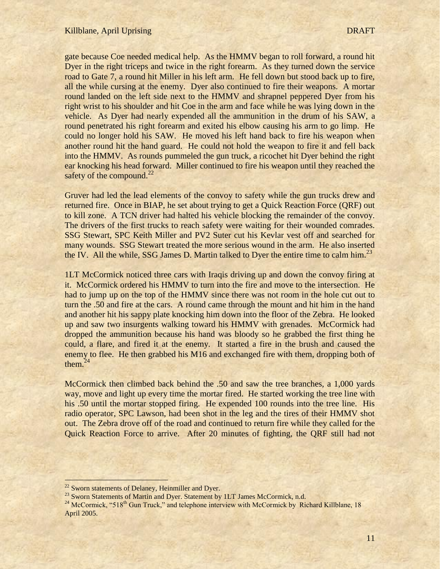gate because Coe needed medical help. As the HMMV began to roll forward, a round hit Dyer in the right triceps and twice in the right forearm. As they turned down the service road to Gate 7, a round hit Miller in his left arm. He fell down but stood back up to fire, all the while cursing at the enemy. Dyer also continued to fire their weapons. A mortar round landed on the left side next to the HMMV and shrapnel peppered Dyer from his right wrist to his shoulder and hit Coe in the arm and face while he was lying down in the vehicle. As Dyer had nearly expended all the ammunition in the drum of his SAW, a round penetrated his right forearm and exited his elbow causing his arm to go limp. He could no longer hold his SAW. He moved his left hand back to fire his weapon when another round hit the hand guard. He could not hold the weapon to fire it and fell back into the HMMV. As rounds pummeled the gun truck, a ricochet hit Dyer behind the right ear knocking his head forward. Miller continued to fire his weapon until they reached the safety of the compound. $^{22}$ 

Gruver had led the lead elements of the convoy to safety while the gun trucks drew and returned fire. Once in BIAP, he set about trying to get a Quick Reaction Force (QRF) out to kill zone. A TCN driver had halted his vehicle blocking the remainder of the convoy. The drivers of the first trucks to reach safety were waiting for their wounded comrades. SSG Stewart, SPC Keith Miller and PV2 Suter cut his Kevlar vest off and searched for many wounds. SSG Stewart treated the more serious wound in the arm. He also inserted the IV. All the while, SSG James D. Martin talked to Dyer the entire time to calm him.<sup>23</sup>

1LT McCormick noticed three cars with Iraqis driving up and down the convoy firing at it. McCormick ordered his HMMV to turn into the fire and move to the intersection. He had to jump up on the top of the HMMV since there was not room in the hole cut out to turn the .50 and fire at the cars. A round came through the mount and hit him in the hand and another hit his sappy plate knocking him down into the floor of the Zebra. He looked up and saw two insurgents walking toward his HMMV with grenades. McCormick had dropped the ammunition because his hand was bloody so he grabbed the first thing he could, a flare, and fired it at the enemy. It started a fire in the brush and caused the enemy to flee. He then grabbed his M16 and exchanged fire with them, dropping both of them. $24$ 

McCormick then climbed back behind the .50 and saw the tree branches, a 1,000 yards way, move and light up every time the mortar fired. He started working the tree line with his .50 until the mortar stopped firing. He expended 100 rounds into the tree line. His radio operator, SPC Lawson, had been shot in the leg and the tires of their HMMV shot out. The Zebra drove off of the road and continued to return fire while they called for the Quick Reaction Force to arrive. After 20 minutes of fighting, the QRF still had not

 $22$  Sworn statements of Delaney, Heinmiller and Dyer.

<sup>&</sup>lt;sup>23</sup> Sworn Statements of Martin and Dyer. Statement by 1LT James McCormick, n.d.

 $^{24}$  McCormick, "518<sup>th</sup> Gun Truck," and telephone interview with McCormick by Richard Killblane, 18 April 2005.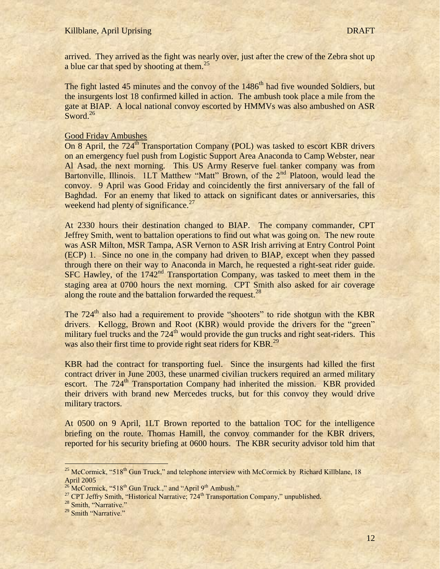arrived. They arrived as the fight was nearly over, just after the crew of the Zebra shot up a blue car that sped by shooting at them.<sup>25</sup>

The fight lasted 45 minutes and the convoy of the 1486<sup>th</sup> had five wounded Soldiers, but the insurgents lost 18 confirmed killed in action. The ambush took place a mile from the gate at BIAP. A local national convoy escorted by HMMVs was also ambushed on ASR Sword.<sup>26</sup>

## Good Friday Ambushes

On 8 April, the 724<sup>th</sup> Transportation Company (POL) was tasked to escort KBR drivers on an emergency fuel push from Logistic Support Area Anaconda to Camp Webster, near Al Asad, the next morning. This US Army Reserve fuel tanker company was from Bartonville, Illinois. 1LT Matthew "Matt" Brown, of the 2<sup>nd</sup> Platoon, would lead the convoy. 9 April was Good Friday and coincidently the first anniversary of the fall of Baghdad. For an enemy that liked to attack on significant dates or anniversaries, this weekend had plenty of significance.<sup>27</sup>

At 2330 hours their destination changed to BIAP. The company commander, CPT Jeffrey Smith, went to battalion operations to find out what was going on. The new route was ASR Milton, MSR Tampa, ASR Vernon to ASR Irish arriving at Entry Control Point (ECP) 1. Since no one in the company had driven to BIAP, except when they passed through there on their way to Anaconda in March, he requested a right-seat rider guide.  $SFC$  Hawley, of the 1742<sup>nd</sup> Transportation Company, was tasked to meet them in the staging area at 0700 hours the next morning. CPT Smith also asked for air coverage along the route and the battalion forwarded the request. $^{28}$ 

The  $724<sup>th</sup>$  also had a requirement to provide "shooters" to ride shotgun with the KBR drivers. Kellogg, Brown and Root (KBR) would provide the drivers for the "green" military fuel trucks and the  $724<sup>th</sup>$  would provide the gun trucks and right seat-riders. This was also their first time to provide right seat riders for KBR.<sup>29</sup>

KBR had the contract for transporting fuel. Since the insurgents had killed the first contract driver in June 2003, these unarmed civilian truckers required an armed military escort. The 724<sup>th</sup> Transportation Company had inherited the mission. KBR provided their drivers with brand new Mercedes trucks, but for this convoy they would drive military tractors.

At 0500 on 9 April, 1LT Brown reported to the battalion TOC for the intelligence briefing on the route. Thomas Hamill, the convoy commander for the KBR drivers, reported for his security briefing at 0600 hours. The KBR security advisor told him that

<sup>&</sup>lt;sup>25</sup> McCormick, "518<sup>th</sup> Gun Truck," and telephone interview with McCormick by Richard Killblane, 18 April 2005

 $^{26}$ McCormick, "518<sup>th</sup> Gun Truck.," and "April 9<sup>th</sup> Ambush."

<sup>&</sup>lt;sup>27</sup> CPT Jeffry Smith, "Historical Narrative; 724<sup>th</sup> Transportation Company," unpublished.

<sup>&</sup>lt;sup>28</sup> Smith, "Narrative."

<sup>&</sup>lt;sup>29</sup> Smith "Narrative."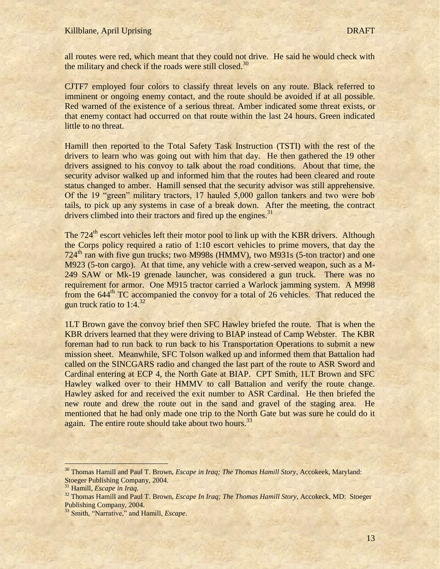all routes were red, which meant that they could not drive. He said he would check with the military and check if the roads were still closed.<sup>30</sup>

CJTF7 employed four colors to classify threat levels on any route. Black referred to imminent or ongoing enemy contact, and the route should be avoided if at all possible. Red warned of the existence of a serious threat. Amber indicated some threat exists, or that enemy contact had occurred on that route within the last 24 hours. Green indicated little to no threat.

Hamill then reported to the Total Safety Task Instruction (TSTI) with the rest of the drivers to learn who was going out with him that day. He then gathered the 19 other drivers assigned to his convoy to talk about the road conditions. About that time, the security advisor walked up and informed him that the routes had been cleared and route status changed to amber. Hamill sensed that the security advisor was still apprehensive. Of the 19 "green" military tractors, 17 hauled 5,000 gallon tankers and two were bob tails, to pick up any systems in case of a break down. After the meeting, the contract drivers climbed into their tractors and fired up the engines. $31$ 

The 724<sup>th</sup> escort vehicles left their motor pool to link up with the KBR drivers. Although the Corps policy required a ratio of 1:10 escort vehicles to prime movers, that day the 724<sup>th</sup> ran with five gun trucks; two M998s (HMMV), two M931s (5-ton tractor) and one M923 (5-ton cargo). At that time, any vehicle with a crew-served weapon, such as a M-249 SAW or Mk-19 grenade launcher, was considered a gun truck. There was no requirement for armor. One M915 tractor carried a Warlock jamming system. A M998 from the  $644<sup>th</sup> TC$  accompanied the convoy for a total of 26 vehicles. That reduced the gun truck ratio to  $1:4.^{32}$ 

1LT Brown gave the convoy brief then SFC Hawley briefed the route. That is when the KBR drivers learned that they were driving to BIAP instead of Camp Webster. The KBR foreman had to run back to run back to his Transportation Operations to submit a new mission sheet. Meanwhile, SFC Tolson walked up and informed them that Battalion had called on the SINCGARS radio and changed the last part of the route to ASR Sword and Cardinal entering at ECP 4, the North Gate at BIAP. CPT Smith, 1LT Brown and SFC Hawley walked over to their HMMV to call Battalion and verify the route change. Hawley asked for and received the exit number to ASR Cardinal. He then briefed the new route and drew the route out in the sand and gravel of the staging area. He mentioned that he had only made one trip to the North Gate but was sure he could do it again. The entire route should take about two hours.<sup>33</sup>

<sup>30</sup> Thomas Hamill and Paul T. Brown, *Escape in Iraq; The Thomas Hamill Story*, Accokeek, Maryland: Stoeger Publishing Company, 2004.

<sup>31</sup> Hamill, *Escape in Iraq.*

<sup>&</sup>lt;sup>32</sup> Thomas Hamill and Paul T. Brown, *Escape In Iraq; The Thomas Hamill Story*, Accokeck, MD: Stoeger Publishing Company, 2004.

<sup>33</sup> Smith, "Narrative," and Hamill, *Escape*.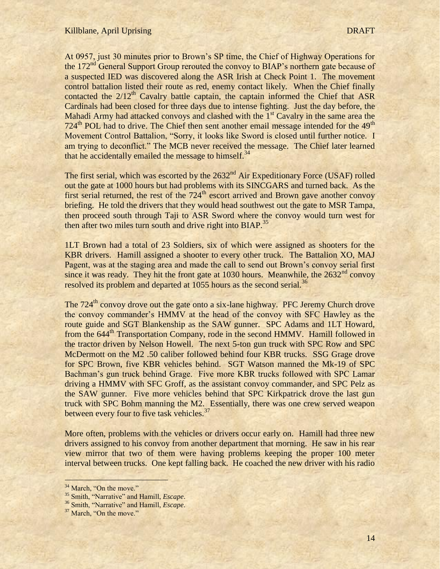At 0957, just 30 minutes prior to Brown"s SP time, the Chief of Highway Operations for the 172<sup>nd</sup> General Support Group rerouted the convoy to BIAP's northern gate because of a suspected IED was discovered along the ASR Irish at Check Point 1. The movement control battalion listed their route as red, enemy contact likely. When the Chief finally contacted the  $2/12<sup>th</sup>$  Cavalry battle captain, the captain informed the Chief that ASR Cardinals had been closed for three days due to intense fighting. Just the day before, the Mahadi Army had attacked convoys and clashed with the  $1<sup>st</sup>$  Cavalry in the same area the 724<sup>th</sup> POL had to drive. The Chief then sent another email message intended for the 49<sup>th</sup> Movement Control Battalion, "Sorry, it looks like Sword is closed until further notice. I am trying to deconflict." The MCB never received the message. The Chief later learned that he accidentally emailed the message to himself. $34$ 

The first serial, which was escorted by the 2632<sup>nd</sup> Air Expeditionary Force (USAF) rolled out the gate at 1000 hours but had problems with its SINCGARS and turned back. As the first serial returned, the rest of the  $724<sup>th</sup>$  escort arrived and Brown gave another convoy briefing. He told the drivers that they would head southwest out the gate to MSR Tampa, then proceed south through Taji to ASR Sword where the convoy would turn west for then after two miles turn south and drive right into  $BIAP<sup>35</sup>$ .

1LT Brown had a total of 23 Soldiers, six of which were assigned as shooters for the KBR drivers. Hamill assigned a shooter to every other truck. The Battalion XO, MAJ Pagent, was at the staging area and made the call to send out Brown's convoy serial first since it was ready. They hit the front gate at 1030 hours. Meanwhile, the  $2632<sup>nd</sup>$  convoy resolved its problem and departed at 1055 hours as the second serial.<sup>36</sup>

The 724<sup>th</sup> convoy drove out the gate onto a six-lane highway. PFC Jeremy Church drove the convoy commander"s HMMV at the head of the convoy with SFC Hawley as the route guide and SGT Blankenship as the SAW gunner. SPC Adams and 1LT Howard, from the 644<sup>th</sup> Transportation Company, rode in the second HMMV. Hamill followed in the tractor driven by Nelson Howell. The next 5-ton gun truck with SPC Row and SPC McDermott on the M2 .50 caliber followed behind four KBR trucks. SSG Grage drove for SPC Brown, five KBR vehicles behind. SGT Watson manned the Mk-19 of SPC Bachman's gun truck behind Grage. Five more KBR trucks followed with SPC Lamar driving a HMMV with SFC Groff, as the assistant convoy commander, and SPC Pelz as the SAW gunner. Five more vehicles behind that SPC Kirkpatrick drove the last gun truck with SPC Bohm manning the M2. Essentially, there was one crew served weapon between every four to five task vehicles.<sup>37</sup>

More often, problems with the vehicles or drivers occur early on. Hamill had three new drivers assigned to his convoy from another department that morning. He saw in his rear view mirror that two of them were having problems keeping the proper 100 meter interval between trucks. One kept falling back. He coached the new driver with his radio

<sup>&</sup>lt;sup>34</sup> March, "On the move."

<sup>35</sup> Smith, "Narrative" and Hamill, *Escape*.

<sup>36</sup> Smith, "Narrative" and Hamill, *Escape*.

<sup>&</sup>lt;sup>37</sup> March, "On the move."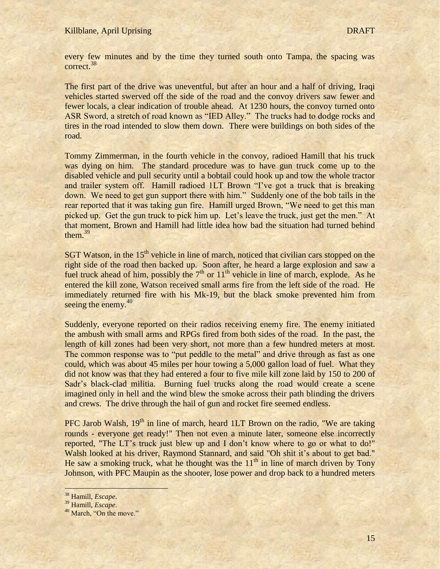every few minutes and by the time they turned south onto Tampa, the spacing was correct.<sup>38</sup>

The first part of the drive was uneventful, but after an hour and a half of driving, Iraqi vehicles started swerved off the side of the road and the convoy drivers saw fewer and fewer locals, a clear indication of trouble ahead. At 1230 hours, the convoy turned onto ASR Sword, a stretch of road known as "IED Alley." The trucks had to dodge rocks and tires in the road intended to slow them down. There were buildings on both sides of the road.

Tommy Zimmerman, in the fourth vehicle in the convoy, radioed Hamill that his truck was dying on him. The standard procedure was to have gun truck come up to the disabled vehicle and pull security until a bobtail could hook up and tow the whole tractor and trailer system off. Hamill radioed 1LT Brown "I've got a truck that is breaking down. We need to get gun support there with him." Suddenly one of the bob tails in the rear reported that it was taking gun fire. Hamill urged Brown, "We need to get this man picked up. Get the gun truck to pick him up. Let"s leave the truck, just get the men." At that moment, Brown and Hamill had little idea how bad the situation had turned behind them.<sup>39</sup>

SGT Watson, in the  $15<sup>th</sup>$  vehicle in line of march, noticed that civilian cars stopped on the right side of the road then backed up. Soon after, he heard a large explosion and saw a fuel truck ahead of him, possibly the  $7<sup>th</sup>$  or  $11<sup>th</sup>$  vehicle in line of march, explode. As he entered the kill zone, Watson received small arms fire from the left side of the road. He immediately returned fire with his Mk-19, but the black smoke prevented him from seeing the enemy.<sup>40</sup>

Suddenly, everyone reported on their radios receiving enemy fire. The enemy initiated the ambush with small arms and RPGs fired from both sides of the road. In the past, the length of kill zones had been very short, not more than a few hundred meters at most. The common response was to "put peddle to the metal" and drive through as fast as one could, which was about 45 miles per hour towing a 5,000 gallon load of fuel. What they did not know was that they had entered a four to five mile kill zone laid by 150 to 200 of Sadr"s black-clad militia. Burning fuel trucks along the road would create a scene imagined only in hell and the wind blew the smoke across their path blinding the drivers and crews. The drive through the hail of gun and rocket fire seemed endless.

PFC Jarob Walsh,  $19<sup>th</sup>$  in line of march, heard 1LT Brown on the radio, "We are taking rounds - everyone get ready!" Then not even a minute later, someone else incorrectly reported, "The LT"s truck just blew up and I don"t know where to go or what to do!" Walsh looked at his driver, Raymond Stannard, and said "Oh shit it's about to get bad." He saw a smoking truck, what he thought was the  $11<sup>th</sup>$  in line of march driven by Tony Johnson, with PFC Maupin as the shooter, lose power and drop back to a hundred meters

<sup>38</sup> Hamill, *Escape*.

<sup>39</sup> Hamill, *Escape*.

<sup>&</sup>lt;sup>40</sup> March, "On the move."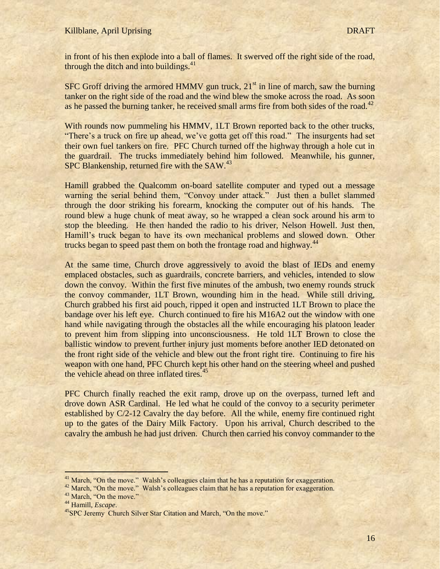in front of his then explode into a ball of flames. It swerved off the right side of the road, through the ditch and into buildings. $41$ 

SFC Groff driving the armored HMMV gun truck,  $21<sup>st</sup>$  in line of march, saw the burning tanker on the right side of the road and the wind blew the smoke across the road. As soon as he passed the burning tanker, he received small arms fire from both sides of the road.<sup>42</sup>

With rounds now pummeling his HMMV, 1LT Brown reported back to the other trucks, "There's a truck on fire up ahead, we've gotta get off this road." The insurgents had set their own fuel tankers on fire. PFC Church turned off the highway through a hole cut in the guardrail. The trucks immediately behind him followed. Meanwhile, his gunner, SPC Blankenship, returned fire with the SAW.<sup>43</sup>

Hamill grabbed the Qualcomm on-board satellite computer and typed out a message warning the serial behind them, "Convoy under attack." Just then a bullet slammed through the door striking his forearm, knocking the computer out of his hands. The round blew a huge chunk of meat away, so he wrapped a clean sock around his arm to stop the bleeding. He then handed the radio to his driver, Nelson Howell. Just then, Hamill's truck began to have its own mechanical problems and slowed down. Other trucks began to speed past them on both the frontage road and highway.<sup>44</sup>

At the same time, Church drove aggressively to avoid the blast of IEDs and enemy emplaced obstacles, such as guardrails, concrete barriers, and vehicles, intended to slow down the convoy. Within the first five minutes of the ambush, two enemy rounds struck the convoy commander, 1LT Brown, wounding him in the head. While still driving, Church grabbed his first aid pouch, ripped it open and instructed 1LT Brown to place the bandage over his left eye. Church continued to fire his M16A2 out the window with one hand while navigating through the obstacles all the while encouraging his platoon leader to prevent him from slipping into unconsciousness. He told 1LT Brown to close the ballistic window to prevent further injury just moments before another IED detonated on the front right side of the vehicle and blew out the front right tire. Continuing to fire his weapon with one hand, PFC Church kept his other hand on the steering wheel and pushed the vehicle ahead on three inflated tires.<sup>45</sup>

PFC Church finally reached the exit ramp, drove up on the overpass, turned left and drove down ASR Cardinal. He led what he could of the convoy to a security perimeter established by C/2-12 Cavalry the day before. All the while, enemy fire continued right up to the gates of the Dairy Milk Factory. Upon his arrival, Church described to the cavalry the ambush he had just driven. Church then carried his convoy commander to the

<sup>&</sup>lt;sup>41</sup> March, "On the move." Walsh's colleagues claim that he has a reputation for exaggeration.

<sup>&</sup>lt;sup>42</sup> March, "On the move." Walsh's colleagues claim that he has a reputation for exaggeration.

<sup>&</sup>lt;sup>43</sup> March, "On the move."

<sup>44</sup> Hamill, *Escape*.

<sup>&</sup>lt;sup>45</sup>SPC Jeremy Church Silver Star Citation and March, "On the move."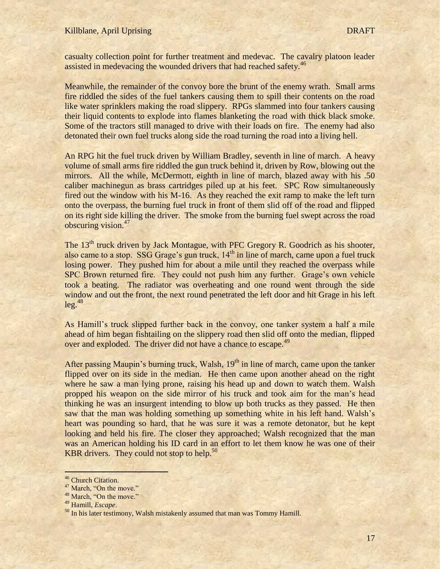casualty collection point for further treatment and medevac. The cavalry platoon leader assisted in medevacing the wounded drivers that had reached safety.<sup>46</sup>

Meanwhile, the remainder of the convoy bore the brunt of the enemy wrath. Small arms fire riddled the sides of the fuel tankers causing them to spill their contents on the road like water sprinklers making the road slippery. RPGs slammed into four tankers causing their liquid contents to explode into flames blanketing the road with thick black smoke. Some of the tractors still managed to drive with their loads on fire. The enemy had also detonated their own fuel trucks along side the road turning the road into a living hell.

An RPG hit the fuel truck driven by William Bradley, seventh in line of march. A heavy volume of small arms fire riddled the gun truck behind it, driven by Row, blowing out the mirrors. All the while, McDermott, eighth in line of march, blazed away with his .50 caliber machinegun as brass cartridges piled up at his feet. SPC Row simultaneously fired out the window with his M-16. As they reached the exit ramp to make the left turn onto the overpass, the burning fuel truck in front of them slid off of the road and flipped on its right side killing the driver. The smoke from the burning fuel swept across the road obscuring vision.<sup>47</sup>

The 13<sup>th</sup> truck driven by Jack Montague, with PFC Gregory R. Goodrich as his shooter, also came to a stop. SSG Grage's gun truck,  $14<sup>th</sup>$  in line of march, came upon a fuel truck losing power. They pushed him for about a mile until they reached the overpass while SPC Brown returned fire. They could not push him any further. Grage's own vehicle took a beating. The radiator was overheating and one round went through the side window and out the front, the next round penetrated the left door and hit Grage in his left  $leg.<sup>48</sup>$ 

As Hamill"s truck slipped further back in the convoy, one tanker system a half a mile ahead of him began fishtailing on the slippery road then slid off onto the median, flipped over and exploded. The driver did not have a chance to escape.<sup>49</sup>

After passing Maupin's burning truck, Walsh, 19<sup>th</sup> in line of march, came upon the tanker flipped over on its side in the median. He then came upon another ahead on the right where he saw a man lying prone, raising his head up and down to watch them. Walsh propped his weapon on the side mirror of his truck and took aim for the man"s head thinking he was an insurgent intending to blow up both trucks as they passed. He then saw that the man was holding something up something white in his left hand. Walsh's heart was pounding so hard, that he was sure it was a remote detonator, but he kept looking and held his fire. The closer they approached; Walsh recognized that the man was an American holding his ID card in an effort to let them know he was one of their KBR drivers. They could not stop to help. $50$ 

<sup>&</sup>lt;sup>46</sup> Church Citation.

 $47$  March, "On the move."

<sup>&</sup>lt;sup>48</sup> March, "On the move."

<sup>49</sup> Hamill, *Escape*.

<sup>&</sup>lt;sup>50</sup> In his later testimony, Walsh mistakenly assumed that man was Tommy Hamill.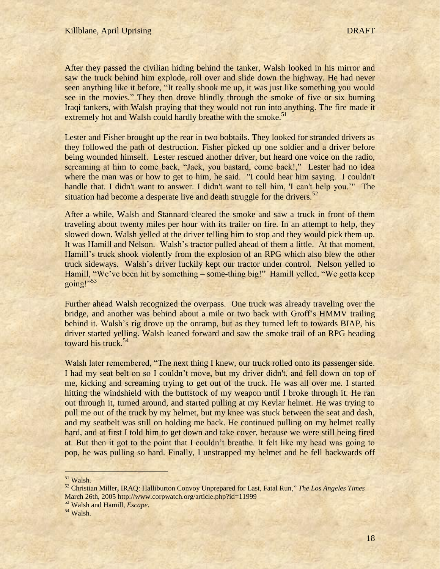After they passed the civilian hiding behind the tanker, Walsh looked in his mirror and saw the truck behind him explode, roll over and slide down the highway. He had never seen anything like it before, "It really shook me up, it was just like something you would see in the movies." They then drove blindly through the smoke of five or six burning Iraqi tankers, with Walsh praying that they would not run into anything. The fire made it extremely hot and Walsh could hardly breathe with the smoke.<sup>51</sup>

Lester and Fisher brought up the rear in two bobtails. They looked for stranded drivers as they followed the path of destruction. Fisher picked up one soldier and a driver before being wounded himself. Lester rescued another driver, but heard one voice on the radio, screaming at him to come back, "Jack, you bastard, come back!," Lester had no idea where the man was or how to get to him, he said. "I could hear him saying. I couldn't handle that. I didn't want to answer. I didn't want to tell him, 'I can't help you."" The situation had become a desperate live and death struggle for the drivers.<sup>52</sup>

After a while, Walsh and Stannard cleared the smoke and saw a truck in front of them traveling about twenty miles per hour with its trailer on fire. In an attempt to help, they slowed down. Walsh yelled at the driver telling him to stop and they would pick them up. It was Hamill and Nelson. Walsh"s tractor pulled ahead of them a little. At that moment, Hamill's truck shook violently from the explosion of an RPG which also blew the other truck sideways. Walsh"s driver luckily kept our tractor under control. Nelson yelled to Hamill, "We've been hit by something – some-thing big!" Hamill yelled, "We gotta keep going!" $53$ 

Further ahead Walsh recognized the overpass. One truck was already traveling over the bridge, and another was behind about a mile or two back with Groff"s HMMV trailing behind it. Walsh's rig drove up the onramp, but as they turned left to towards BIAP, his driver started yelling. Walsh leaned forward and saw the smoke trail of an RPG heading toward his truck. 54

Walsh later remembered, "The next thing I knew, our truck rolled onto its passenger side. I had my seat belt on so I couldn"t move, but my driver didn't, and fell down on top of me, kicking and screaming trying to get out of the truck. He was all over me. I started hitting the windshield with the buttstock of my weapon until I broke through it. He ran out through it, turned around, and started pulling at my Kevlar helmet. He was trying to pull me out of the truck by my helmet, but my knee was stuck between the seat and dash, and my seatbelt was still on holding me back. He continued pulling on my helmet really hard, and at first I told him to get down and take cover, because we were still being fired at. But then it got to the point that I couldn"t breathe. It felt like my head was going to pop, he was pulling so hard. Finally, I unstrapped my helmet and he fell backwards off

 $\overline{1}$ 

<sup>53</sup> Walsh and Hamill, *Escape*.

<sup>51</sup> Walsh.

<sup>52</sup> Christian Miller**,** IRAQ: Halliburton Convoy Unprepared for Last, Fatal Run," *[The Los Angeles Times](http://www.latimes.com/)* March 26th, 2005 http://www.corpwatch.org/article.php?id=11999

<sup>54</sup> Walsh.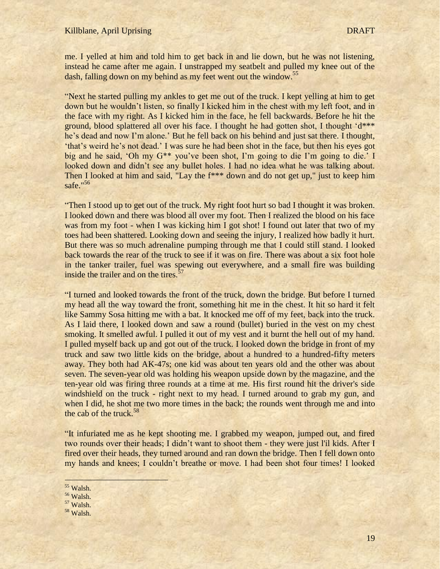### Killblane, April Uprising DRAFT

me. I yelled at him and told him to get back in and lie down, but he was not listening, instead he came after me again. I unstrapped my seatbelt and pulled my knee out of the dash, falling down on my behind as my feet went out the window.<sup>55</sup>

"Next he started pulling my ankles to get me out of the truck. I kept yelling at him to get down but he wouldn"t listen, so finally I kicked him in the chest with my left foot, and in the face with my right. As I kicked him in the face, he fell backwards. Before he hit the ground, blood splattered all over his face. I thought he had gotten shot, I thought 'd\*\*\* he's dead and now I'm alone.' But he fell back on his behind and just sat there. I thought, "that"s weird he"s not dead." I was sure he had been shot in the face, but then his eyes got big and he said, "Oh my G\*\* you"ve been shot, I"m going to die I"m going to die." I looked down and didn't see any bullet holes. I had no idea what he was talking about. Then I looked at him and said, "Lay the  $f***$  down and do not get up," just to keep him safe."<sup>56</sup>

"Then I stood up to get out of the truck. My right foot hurt so bad I thought it was broken. I looked down and there was blood all over my foot. Then I realized the blood on his face was from my foot - when I was kicking him I got shot! I found out later that two of my toes had been shattered. Looking down and seeing the injury, I realized how badly it hurt. But there was so much adrenaline pumping through me that I could still stand. I looked back towards the rear of the truck to see if it was on fire. There was about a six foot hole in the tanker trailer, fuel was spewing out everywhere, and a small fire was building inside the trailer and on the tires.<sup>57</sup>

"I turned and looked towards the front of the truck, down the bridge. But before I turned my head all the way toward the front, something hit me in the chest. It hit so hard it felt like Sammy Sosa hitting me with a bat. It knocked me off of my feet, back into the truck. As I laid there, I looked down and saw a round (bullet) buried in the vest on my chest smoking. It smelled awful. I pulled it out of my vest and it burnt the hell out of my hand. I pulled myself back up and got out of the truck. I looked down the bridge in front of my truck and saw two little kids on the bridge, about a hundred to a hundred-fifty meters away. They both had AK-47s; one kid was about ten years old and the other was about seven. The seven-year old was holding his weapon upside down by the magazine, and the ten-year old was firing three rounds at a time at me. His first round hit the driver's side windshield on the truck - right next to my head. I turned around to grab my gun, and when I did, he shot me two more times in the back; the rounds went through me and into the cab of the truck.  $58$ 

"It infuriated me as he kept shooting me. I grabbed my weapon, jumped out, and fired two rounds over their heads; I didn"t want to shoot them - they were just l'il kids. After I fired over their heads, they turned around and ran down the bridge. Then I fell down onto my hands and knees; I couldn"t breathe or move. I had been shot four times! I looked

<sup>55</sup> Walsh.

l

<sup>56</sup> Walsh.

- <sup>57</sup> Walsh.
- <sup>58</sup> Walsh.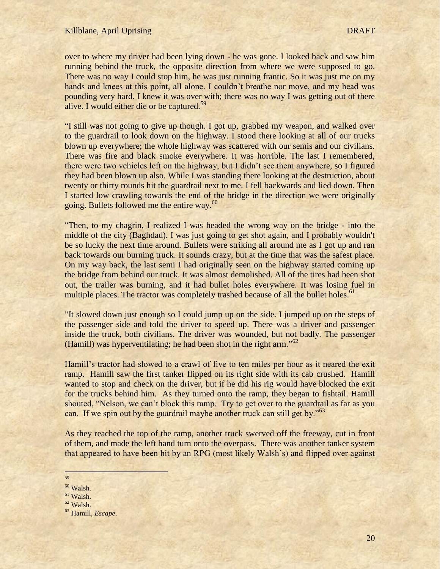over to where my driver had been lying down - he was gone. I looked back and saw him running behind the truck, the opposite direction from where we were supposed to go. There was no way I could stop him, he was just running frantic. So it was just me on my hands and knees at this point, all alone. I couldn't breathe nor move, and my head was pounding very hard. I knew it was over with; there was no way I was getting out of there alive. I would either die or be captured.<sup>59</sup>

"I still was not going to give up though. I got up, grabbed my weapon, and walked over to the guardrail to look down on the highway. I stood there looking at all of our trucks blown up everywhere; the whole highway was scattered with our semis and our civilians. There was fire and black smoke everywhere. It was horrible. The last I remembered, there were two vehicles left on the highway, but I didn"t see them anywhere, so I figured they had been blown up also. While I was standing there looking at the destruction, about twenty or thirty rounds hit the guardrail next to me. I fell backwards and lied down. Then I started low crawling towards the end of the bridge in the direction we were originally going. Bullets followed me the entire way.<sup>60</sup>

"Then, to my chagrin, I realized I was headed the wrong way on the bridge - into the middle of the city (Baghdad). I was just going to get shot again, and I probably wouldn't be so lucky the next time around. Bullets were striking all around me as I got up and ran back towards our burning truck. It sounds crazy, but at the time that was the safest place. On my way back, the last semi I had originally seen on the highway started coming up the bridge from behind our truck. It was almost demolished. All of the tires had been shot out, the trailer was burning, and it had bullet holes everywhere. It was losing fuel in multiple places. The tractor was completely trashed because of all the bullet holes.<sup>61</sup>

"It slowed down just enough so I could jump up on the side. I jumped up on the steps of the passenger side and told the driver to speed up. There was a driver and passenger inside the truck, both civilians. The driver was wounded, but not badly. The passenger (Hamill) was hyperventilating; he had been shot in the right arm."<sup>62</sup>

Hamill"s tractor had slowed to a crawl of five to ten miles per hour as it neared the exit ramp. Hamill saw the first tanker flipped on its right side with its cab crushed. Hamill wanted to stop and check on the driver, but if he did his rig would have blocked the exit for the trucks behind him. As they turned onto the ramp, they began to fishtail. Hamill shouted, "Nelson, we can"t block this ramp. Try to get over to the guardrail as far as you can. If we spin out by the guardrail maybe another truck can still get by."<sup>63</sup>

As they reached the top of the ramp, another truck swerved off the freeway, cut in front of them, and made the left hand turn onto the overpass. There was another tanker system that appeared to have been hit by an RPG (most likely Walsh"s) and flipped over against

59

<sup>60</sup> Walsh.

- <sup>61</sup> Walsh.
- <sup>62</sup> Walsh.

<sup>63</sup> Hamill, *Escape*.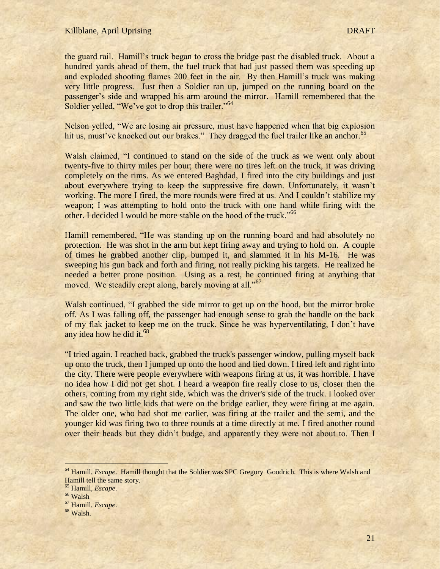the guard rail. Hamill"s truck began to cross the bridge past the disabled truck. About a hundred yards ahead of them, the fuel truck that had just passed them was speeding up and exploded shooting flames 200 feet in the air. By then Hamill"s truck was making very little progress. Just then a Soldier ran up, jumped on the running board on the passenger"s side and wrapped his arm around the mirror. Hamill remembered that the Soldier yelled, "We've got to drop this trailer."<sup>64</sup>

Nelson yelled, "We are losing air pressure, must have happened when that big explosion hit us, must've knocked out our brakes." They dragged the fuel trailer like an anchor.<sup>65</sup>

Walsh claimed, "I continued to stand on the side of the truck as we went only about twenty-five to thirty miles per hour; there were no tires left on the truck, it was driving completely on the rims. As we entered Baghdad, I fired into the city buildings and just about everywhere trying to keep the suppressive fire down. Unfortunately, it wasn"t working. The more I fired, the more rounds were fired at us. And I couldn't stabilize my weapon; I was attempting to hold onto the truck with one hand while firing with the other. I decided I would be more stable on the hood of the truck."<sup>66</sup>

Hamill remembered, "He was standing up on the running board and had absolutely no protection. He was shot in the arm but kept firing away and trying to hold on. A couple of times he grabbed another clip, bumped it, and slammed it in his M-16. He was sweeping his gun back and forth and firing, not really picking his targets. He realized he needed a better prone position. Using as a rest, he continued firing at anything that moved. We steadily crept along, barely moving at all."<sup>67</sup>

Walsh continued, "I grabbed the side mirror to get up on the hood, but the mirror broke off. As I was falling off, the passenger had enough sense to grab the handle on the back of my flak jacket to keep me on the truck. Since he was hyperventilating, I don"t have any idea how he did it.<sup>68</sup>

"I tried again. I reached back, grabbed the truck's passenger window, pulling myself back up onto the truck, then I jumped up onto the hood and lied down. I fired left and right into the city. There were people everywhere with weapons firing at us, it was horrible. I have no idea how I did not get shot. I heard a weapon fire really close to us, closer then the others, coming from my right side, which was the driver's side of the truck. I looked over and saw the two little kids that were on the bridge earlier, they were firing at me again. The older one, who had shot me earlier, was firing at the trailer and the semi, and the younger kid was firing two to three rounds at a time directly at me. I fired another round over their heads but they didn"t budge, and apparently they were not about to. Then I

<sup>&</sup>lt;sup>64</sup> Hamill, *Escape*. Hamill thought that the Soldier was SPC Gregory Goodrich. This is where Walsh and Hamill tell the same story.

<sup>65</sup> Hamill, *Escape*.

<sup>66</sup> Walsh

<sup>67</sup> Hamill, *Escape*.

<sup>68</sup> Walsh.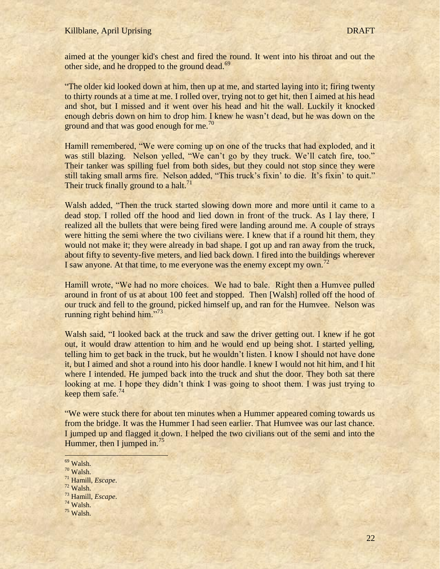aimed at the younger kid's chest and fired the round. It went into his throat and out the other side, and he dropped to the ground dead.<sup>69</sup>

"The older kid looked down at him, then up at me, and started laying into it; firing twenty to thirty rounds at a time at me. I rolled over, trying not to get hit, then I aimed at his head and shot, but I missed and it went over his head and hit the wall. Luckily it knocked enough debris down on him to drop him. I knew he wasn"t dead, but he was down on the ground and that was good enough for me.<sup>70</sup>

Hamill remembered, "We were coming up on one of the trucks that had exploded, and it was still blazing. Nelson yelled, "We can't go by they truck. We'll catch fire, too." Their tanker was spilling fuel from both sides, but they could not stop since they were still taking small arms fire. Nelson added, "This truck's fixin' to die. It's fixin' to quit." Their truck finally ground to a halt. $71$ 

Walsh added, "Then the truck started slowing down more and more until it came to a dead stop. I rolled off the hood and lied down in front of the truck. As I lay there, I realized all the bullets that were being fired were landing around me. A couple of strays were hitting the semi where the two civilians were. I knew that if a round hit them, they would not make it; they were already in bad shape. I got up and ran away from the truck, about fifty to seventy-five meters, and lied back down. I fired into the buildings wherever I saw anyone. At that time, to me everyone was the enemy except my own.<sup>72</sup>

Hamill wrote, "We had no more choices. We had to bale. Right then a Humvee pulled around in front of us at about 100 feet and stopped. Then [Walsh] rolled off the hood of our truck and fell to the ground, picked himself up, and ran for the Humvee. Nelson was running right behind him." $73$ 

Walsh said, "I looked back at the truck and saw the driver getting out. I knew if he got out, it would draw attention to him and he would end up being shot. I started yelling, telling him to get back in the truck, but he wouldn"t listen. I know I should not have done it, but I aimed and shot a round into his door handle. I knew I would not hit him, and I hit where I intended. He jumped back into the truck and shut the door. They both sat there looking at me. I hope they didn't think I was going to shoot them. I was just trying to keep them safe. $^{74}$ 

"We were stuck there for about ten minutes when a Hummer appeared coming towards us from the bridge. It was the Hummer I had seen earlier. That Humvee was our last chance. I jumped up and flagged it down. I helped the two civilians out of the semi and into the Hummer, then I jumped in.<sup>75</sup>

- <sup>72</sup> Walsh.
- <sup>73</sup> Hamill, *Escape*.
- <sup>74</sup> Walsh.
- $75$  Walsh.

i <sup>69</sup> Walsh.

<sup>70</sup> Walsh.

<sup>71</sup> Hamill, *Escape*.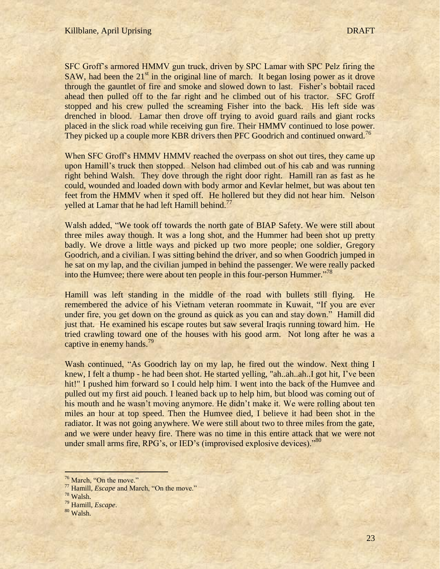SFC Groff"s armored HMMV gun truck, driven by SPC Lamar with SPC Pelz firing the SAW, had been the  $21<sup>st</sup>$  in the original line of march. It began losing power as it drove through the gauntlet of fire and smoke and slowed down to last. Fisher's bobtail raced ahead then pulled off to the far right and he climbed out of his tractor. SFC Groff stopped and his crew pulled the screaming Fisher into the back. His left side was drenched in blood. Lamar then drove off trying to avoid guard rails and giant rocks placed in the slick road while receiving gun fire. Their HMMV continued to lose power. They picked up a couple more KBR drivers then PFC Goodrich and continued onward.<sup>76</sup>

When SFC Groff's HMMV HMMV reached the overpass on shot out tires, they came up upon Hamill"s truck then stopped. Nelson had climbed out of his cab and was running right behind Walsh. They dove through the right door right. Hamill ran as fast as he could, wounded and loaded down with body armor and Kevlar helmet, but was about ten feet from the HMMV when it sped off. He hollered but they did not hear him. Nelson yelled at Lamar that he had left Hamill behind.<sup>77</sup>

Walsh added, "We took off towards the north gate of BIAP Safety. We were still about three miles away though. It was a long shot, and the Hummer had been shot up pretty badly. We drove a little ways and picked up two more people; one soldier, Gregory Goodrich, and a civilian. I was sitting behind the driver, and so when Goodrich jumped in he sat on my lap, and the civilian jumped in behind the passenger. We were really packed into the Humvee; there were about ten people in this four-person Hummer."<sup>78</sup>

Hamill was left standing in the middle of the road with bullets still flying. He remembered the advice of his Vietnam veteran roommate in Kuwait, "If you are ever under fire, you get down on the ground as quick as you can and stay down." Hamill did just that. He examined his escape routes but saw several Iraqis running toward him. He tried crawling toward one of the houses with his good arm. Not long after he was a captive in enemy hands.<sup>79</sup>

Wash continued, "As Goodrich lay on my lap, he fired out the window. Next thing I knew, I felt a thump - he had been shot. He started yelling, "ah..ah..ah..I got hit, I've been hit!" I pushed him forward so I could help him. I went into the back of the Humvee and pulled out my first aid pouch. I leaned back up to help him, but blood was coming out of his mouth and he wasn't moving anymore. He didn't make it. We were rolling about ten miles an hour at top speed. Then the Humvee died, I believe it had been shot in the radiator. It was not going anywhere. We were still about two to three miles from the gate, and we were under heavy fire. There was no time in this entire attack that we were not under small arms fire, RPG's, or IED's (improvised explosive devices)."<sup>80</sup>

<sup>&</sup>lt;sup>76</sup> March, "On the move."

<sup>77</sup> Hamill, *Escape* and March, "On the move."

<sup>78</sup> Walsh.

<sup>79</sup> Hamill, *Escape*.

<sup>80</sup> Walsh.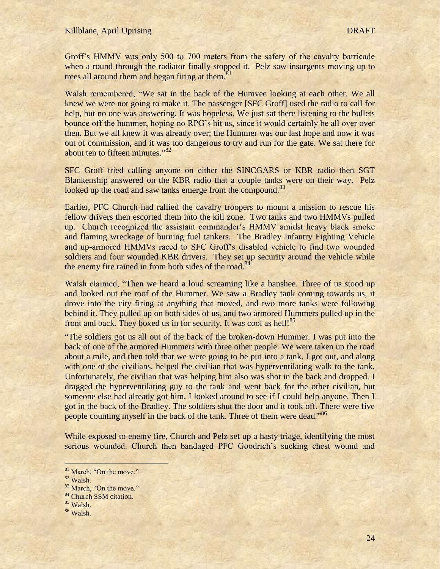### Killblane, April Uprising DRAFT

Groff"s HMMV was only 500 to 700 meters from the safety of the cavalry barricade when a round through the radiator finally stopped it. Pelz saw insurgents moving up to trees all around them and began firing at them.<sup>8</sup>

Walsh remembered, "We sat in the back of the Humvee looking at each other. We all knew we were not going to make it. The passenger [SFC Groff] used the radio to call for help, but no one was answering. It was hopeless. We just sat there listening to the bullets bounce off the hummer, hoping no RPG"s hit us, since it would certainly be all over over then. But we all knew it was already over; the Hummer was our last hope and now it was out of commission, and it was too dangerous to try and run for the gate. We sat there for about ten to fifteen minutes."<sup>82</sup>

SFC Groff tried calling anyone on either the SINCGARS or KBR radio then SGT Blankenship answered on the KBR radio that a couple tanks were on their way. Pelz looked up the road and saw tanks emerge from the compound.<sup>83</sup>

Earlier, PFC Church had rallied the cavalry troopers to mount a mission to rescue his fellow drivers then escorted them into the kill zone. Two tanks and two HMMVs pulled up. Church recognized the assistant commander"s HMMV amidst heavy black smoke and flaming wreckage of burning fuel tankers. The Bradley Infantry Fighting Vehicle and up-armored HMMVs raced to SFC Groff"s disabled vehicle to find two wounded soldiers and four wounded KBR drivers. They set up security around the vehicle while the enemy fire rained in from both sides of the road. $84$ 

Walsh claimed, "Then we heard a loud screaming like a banshee. Three of us stood up and looked out the roof of the Hummer. We saw a Bradley tank coming towards us, it drove into the city firing at anything that moved, and two more tanks were following behind it. They pulled up on both sides of us, and two armored Hummers pulled up in the front and back. They boxed us in for security. It was cool as hell!<sup>85</sup>

"The soldiers got us all out of the back of the broken-down Hummer. I was put into the back of one of the armored Hummers with three other people. We were taken up the road about a mile, and then told that we were going to be put into a tank. I got out, and along with one of the civilians, helped the civilian that was hyperventilating walk to the tank. Unfortunately, the civilian that was helping him also was shot in the back and dropped. I dragged the hyperventilating guy to the tank and went back for the other civilian, but someone else had already got him. I looked around to see if I could help anyone. Then I got in the back of the Bradley. The soldiers shut the door and it took off. There were five people counting myself in the back of the tank. Three of them were dead."<sup>86</sup>

While exposed to enemy fire, Church and Pelz set up a hasty triage, identifying the most serious wounded. Church then bandaged PFC Goodrich's sucking chest wound and

- <sup>84</sup> Church SSM citation.
- <sup>85</sup> Walsh.
- <sup>86</sup> Walsh.

<sup>&</sup>lt;sup>81</sup> March, "On the move."

<sup>82</sup> Walsh.

<sup>&</sup>lt;sup>83</sup> March, "On the move."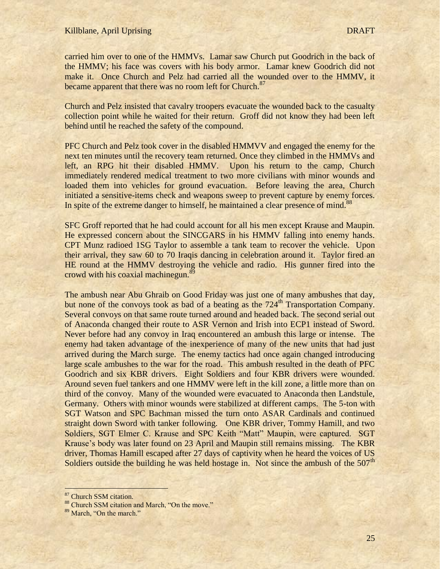carried him over to one of the HMMVs. Lamar saw Church put Goodrich in the back of the HMMV; his face was covers with his body armor. Lamar knew Goodrich did not make it. Once Church and Pelz had carried all the wounded over to the HMMV, it became apparent that there was no room left for Church.<sup>87</sup>

Church and Pelz insisted that cavalry troopers evacuate the wounded back to the casualty collection point while he waited for their return. Groff did not know they had been left behind until he reached the safety of the compound.

PFC Church and Pelz took cover in the disabled HMMVV and engaged the enemy for the next ten minutes until the recovery team returned. Once they climbed in the HMMVs and left, an RPG hit their disabled HMMV. Upon his return to the camp, Church immediately rendered medical treatment to two more civilians with minor wounds and loaded them into vehicles for ground evacuation. Before leaving the area, Church initiated a sensitive-items check and weapons sweep to prevent capture by enemy forces. In spite of the extreme danger to himself, he maintained a clear presence of mind.<sup>88</sup>

SFC Groff reported that he had could account for all his men except Krause and Maupin. He expressed concern about the SINCGARS in his HMMV falling into enemy hands. CPT Munz radioed 1SG Taylor to assemble a tank team to recover the vehicle. Upon their arrival, they saw 60 to 70 Iraqis dancing in celebration around it. Taylor fired an HE round at the HMMV destroying the vehicle and radio. His gunner fired into the crowd with his coaxial machinegun.<sup>89</sup>

The ambush near Abu Ghraib on Good Friday was just one of many ambushes that day, but none of the convoys took as bad of a beating as the  $724<sup>th</sup>$  Transportation Company. Several convoys on that same route turned around and headed back. The second serial out of Anaconda changed their route to ASR Vernon and Irish into ECP1 instead of Sword. Never before had any convoy in Iraq encountered an ambush this large or intense. The enemy had taken advantage of the inexperience of many of the new units that had just arrived during the March surge. The enemy tactics had once again changed introducing large scale ambushes to the war for the road. This ambush resulted in the death of PFC Goodrich and six KBR drivers. Eight Soldiers and four KBR drivers were wounded. Around seven fuel tankers and one HMMV were left in the kill zone, a little more than on third of the convoy. Many of the wounded were evacuated to Anaconda then Landstule, Germany. Others with minor wounds were stabilized at different camps. The 5-ton with SGT Watson and SPC Bachman missed the turn onto ASAR Cardinals and continued straight down Sword with tanker following. One KBR driver, Tommy Hamill, and two Soldiers, SGT Elmer C. Krause and SPC Keith "Matt" Maupin, were captured. SGT Krause's body was later found on 23 April and Maupin still remains missing. The KBR driver, Thomas Hamill escaped after 27 days of captivity when he heard the voices of US Soldiers outside the building he was held hostage in. Not since the ambush of the  $507<sup>th</sup>$ 

<sup>&</sup>lt;sup>87</sup> Church SSM citation.

<sup>88</sup> Church SSM citation and March, "On the move."

<sup>89</sup> March, "On the march."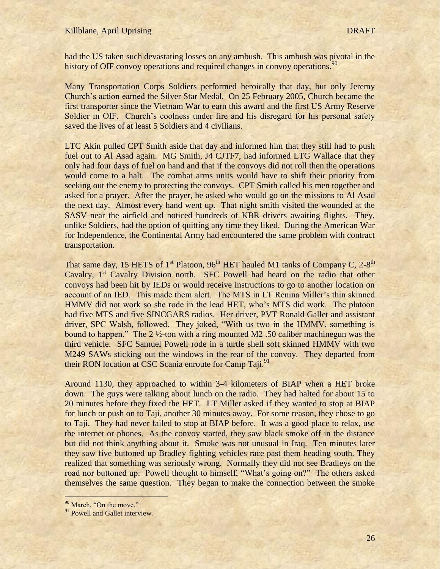had the US taken such devastating losses on any ambush. This ambush was pivotal in the history of OIF convoy operations and required changes in convoy operations.<sup>90</sup>

Many Transportation Corps Soldiers performed heroically that day, but only Jeremy Church"s action earned the Silver Star Medal. On 25 February 2005, Church became the first transporter since the Vietnam War to earn this award and the first US Army Reserve Soldier in OIF. Church's coolness under fire and his disregard for his personal safety saved the lives of at least 5 Soldiers and 4 civilians.

LTC Akin pulled CPT Smith aside that day and informed him that they still had to push fuel out to Al Asad again. MG Smith, J4 CJTF7, had informed LTG Wallace that they only had four days of fuel on hand and that if the convoys did not roll then the operations would come to a halt. The combat arms units would have to shift their priority from seeking out the enemy to protecting the convoys. CPT Smith called his men together and asked for a prayer. After the prayer, he asked who would go on the missions to Al Asad the next day. Almost every hand went up. That night smith visited the wounded at the SASV near the airfield and noticed hundreds of KBR drivers awaiting flights. They, unlike Soldiers, had the option of quitting any time they liked. During the American War for Independence, the Continental Army had encountered the same problem with contract transportation.

That same day, 15 HETS of 1<sup>st</sup> Platoon, 96<sup>th</sup> HET hauled M1 tanks of Company C, 2-8<sup>th</sup> Cavalry, 1<sup>st</sup> Cavalry Division north. SFC Powell had heard on the radio that other convoys had been hit by IEDs or would receive instructions to go to another location on account of an IED. This made them alert. The MTS in LT Renina Miller"s thin skinned HMMV did not work so she rode in the lead HET, who"s MTS did work. The platoon had five MTS and five SINCGARS radios. Her driver, PVT Ronald Gallet and assistant driver, SPC Walsh, followed. They joked, "With us two in the HMMV, something is bound to happen." The 2 ½-ton with a ring mounted M2 .50 caliber machinegun was the third vehicle. SFC Samuel Powell rode in a turtle shell soft skinned HMMV with two M249 SAWs sticking out the windows in the rear of the convoy. They departed from their RON location at CSC Scania enroute for Camp Taji.<sup>91</sup>

Around 1130, they approached to within 3-4 kilometers of BIAP when a HET broke down. The guys were talking about lunch on the radio. They had halted for about 15 to 20 minutes before they fixed the HET. LT Miller asked if they wanted to stop at BIAP for lunch or push on to Taji, another 30 minutes away. For some reason, they chose to go to Taji. They had never failed to stop at BIAP before. It was a good place to relax, use the internet or phones. As the convoy started, they saw black smoke off in the distance but did not think anything about it. Smoke was not unusual in Iraq. Ten minutes later they saw five buttoned up Bradley fighting vehicles race past them heading south. They realized that something was seriously wrong. Normally they did not see Bradleys on the road nor buttoned up. Powell thought to himself, "What's going on?" The others asked themselves the same question. They began to make the connection between the smoke

<sup>&</sup>lt;sup>90</sup> March, "On the move."

<sup>&</sup>lt;sup>91</sup> Powell and Gallet interview.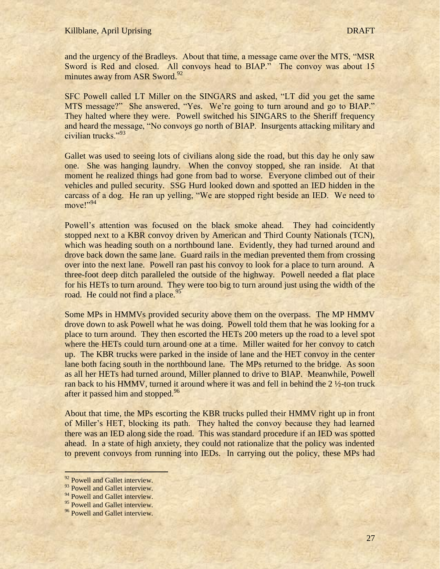and the urgency of the Bradleys. About that time, a message came over the MTS, "MSR Sword is Red and closed. All convoys head to BIAP." The convoy was about 15 minutes away from ASR Sword.<sup>92</sup>

SFC Powell called LT Miller on the SINGARS and asked, "LT did you get the same MTS message?" She answered, "Yes. We"re going to turn around and go to BIAP." They halted where they were. Powell switched his SINGARS to the Sheriff frequency and heard the message, "No convoys go north of BIAP. Insurgents attacking military and civilian trucks."<sup>93</sup>

Gallet was used to seeing lots of civilians along side the road, but this day he only saw one. She was hanging laundry. When the convoy stopped, she ran inside. At that moment he realized things had gone from bad to worse. Everyone climbed out of their vehicles and pulled security. SSG Hurd looked down and spotted an IED hidden in the carcass of a dog. He ran up yelling, "We are stopped right beside an IED. We need to move!"<sup>94</sup>

Powell's attention was focused on the black smoke ahead. They had coincidently stopped next to a KBR convoy driven by American and Third County Nationals (TCN), which was heading south on a northbound lane. Evidently, they had turned around and drove back down the same lane. Guard rails in the median prevented them from crossing over into the next lane. Powell ran past his convoy to look for a place to turn around. A three-foot deep ditch paralleled the outside of the highway. Powell needed a flat place for his HETs to turn around. They were too big to turn around just using the width of the road. He could not find a place.<sup>95</sup>

Some MPs in HMMVs provided security above them on the overpass. The MP HMMV drove down to ask Powell what he was doing. Powell told them that he was looking for a place to turn around. They then escorted the HETs 200 meters up the road to a level spot where the HETs could turn around one at a time. Miller waited for her convoy to catch up. The KBR trucks were parked in the inside of lane and the HET convoy in the center lane both facing south in the northbound lane. The MPs returned to the bridge. As soon as all her HETs had turned around, Miller planned to drive to BIAP. Meanwhile, Powell ran back to his HMMV, turned it around where it was and fell in behind the 2 ½-ton truck after it passed him and stopped.<sup>96</sup>

About that time, the MPs escorting the KBR trucks pulled their HMMV right up in front of Miller"s HET, blocking its path. They halted the convoy because they had learned there was an IED along side the road. This was standard procedure if an IED was spotted ahead. In a state of high anxiety, they could not rationalize that the policy was indented to prevent convoys from running into IEDs. In carrying out the policy, these MPs had

<sup>&</sup>lt;sup>92</sup> Powell and Gallet interview.

<sup>93</sup> Powell and Gallet interview.

<sup>&</sup>lt;sup>94</sup> Powell and Gallet interview.

<sup>&</sup>lt;sup>95</sup> Powell and Gallet interview.

<sup>&</sup>lt;sup>96</sup> Powell and Gallet interview.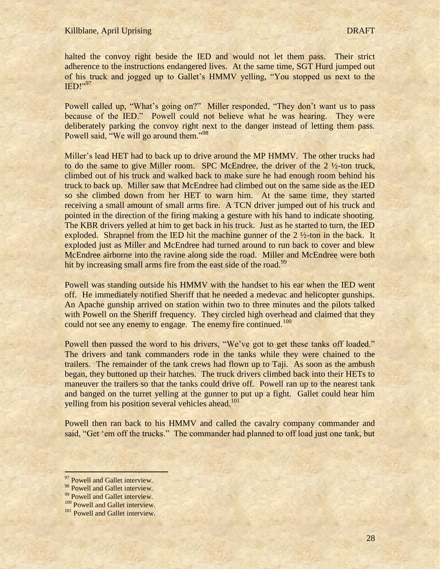halted the convoy right beside the IED and would not let them pass. Their strict adherence to the instructions endangered lives. At the same time, SGT Hurd jumped out of his truck and jogged up to Gallet"s HMMV yelling, "You stopped us next to the IED!"<sup>97</sup>

Powell called up, "What's going on?" Miller responded, "They don't want us to pass because of the IED." Powell could not believe what he was hearing. They were deliberately parking the convoy right next to the danger instead of letting them pass. Powell said, "We will go around them."<sup>98</sup>

Miller"s lead HET had to back up to drive around the MP HMMV. The other trucks had to do the same to give Miller room. SPC McEndree, the driver of the 2 ½-ton truck, climbed out of his truck and walked back to make sure he had enough room behind his truck to back up. Miller saw that McEndree had climbed out on the same side as the IED so she climbed down from her HET to warn him. At the same time, they started receiving a small amount of small arms fire. A TCN driver jumped out of his truck and pointed in the direction of the firing making a gesture with his hand to indicate shooting. The KBR drivers yelled at him to get back in his truck. Just as he started to turn, the IED exploded. Shrapnel from the IED hit the machine gunner of the 2  $\frac{1}{2}$ -ton in the back. It exploded just as Miller and McEndree had turned around to run back to cover and blew McEndree airborne into the ravine along side the road. Miller and McEndree were both hit by increasing small arms fire from the east side of the road.<sup>99</sup>

Powell was standing outside his HMMV with the handset to his ear when the IED went off. He immediately notified Sheriff that he needed a medevac and helicopter gunships. An Apache gunship arrived on station within two to three minutes and the pilots talked with Powell on the Sheriff frequency. They circled high overhead and claimed that they could not see any enemy to engage. The enemy fire continued.<sup>100</sup>

Powell then passed the word to his drivers, "We've got to get these tanks off loaded." The drivers and tank commanders rode in the tanks while they were chained to the trailers. The remainder of the tank crews had flown up to Taji. As soon as the ambush began, they buttoned up their hatches. The truck drivers climbed back into their HETs to maneuver the trailers so that the tanks could drive off. Powell ran up to the nearest tank and banged on the turret yelling at the gunner to put up a fight. Gallet could hear him yelling from his position several vehicles ahead.<sup>101</sup>

Powell then ran back to his HMMV and called the cavalry company commander and said, "Get 'em off the trucks." The commander had planned to off load just one tank, but

<sup>&</sup>lt;sup>97</sup> Powell and Gallet interview.

<sup>98</sup> Powell and Gallet interview.

<sup>&</sup>lt;sup>99</sup> Powell and Gallet interview.

<sup>&</sup>lt;sup>100</sup> Powell and Gallet interview.

<sup>&</sup>lt;sup>101</sup> Powell and Gallet interview.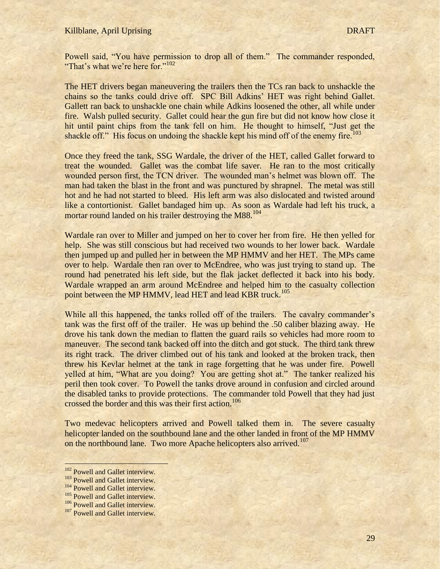Powell said, "You have permission to drop all of them." The commander responded, "That's what we're here for."<sup>102</sup>

The HET drivers began maneuvering the trailers then the TCs ran back to unshackle the chains so the tanks could drive off. SPC Bill Adkins" HET was right behind Gallet. Gallett ran back to unshackle one chain while Adkins loosened the other, all while under fire. Walsh pulled security. Gallet could hear the gun fire but did not know how close it hit until paint chips from the tank fell on him. He thought to himself, "Just get the shackle off." His focus on undoing the shackle kept his mind off of the enemy fire.<sup>103</sup>

Once they freed the tank, SSG Wardale, the driver of the HET, called Gallet forward to treat the wounded. Gallet was the combat life saver. He ran to the most critically wounded person first, the TCN driver. The wounded man"s helmet was blown off. The man had taken the blast in the front and was punctured by shrapnel. The metal was still hot and he had not started to bleed. His left arm was also dislocated and twisted around like a contortionist. Gallet bandaged him up. As soon as Wardale had left his truck, a mortar round landed on his trailer destroying the M88.<sup>104</sup>

Wardale ran over to Miller and jumped on her to cover her from fire. He then yelled for help. She was still conscious but had received two wounds to her lower back. Wardale then jumped up and pulled her in between the MP HMMV and her HET. The MPs came over to help. Wardale then ran over to McEndree, who was just trying to stand up. The round had penetrated his left side, but the flak jacket deflected it back into his body. Wardale wrapped an arm around McEndree and helped him to the casualty collection point between the MP HMMV, lead HET and lead KBR truck.<sup>105</sup>

While all this happened, the tanks rolled off of the trailers. The cavalry commander's tank was the first off of the trailer. He was up behind the .50 caliber blazing away. He drove his tank down the median to flatten the guard rails so vehicles had more room to maneuver. The second tank backed off into the ditch and got stuck. The third tank threw its right track. The driver climbed out of his tank and looked at the broken track, then threw his Kevlar helmet at the tank in rage forgetting that he was under fire. Powell yelled at him, "What are you doing? You are getting shot at." The tanker realized his peril then took cover. To Powell the tanks drove around in confusion and circled around the disabled tanks to provide protections. The commander told Powell that they had just crossed the border and this was their first action.<sup>106</sup>

Two medevac helicopters arrived and Powell talked them in. The severe casualty helicopter landed on the southbound lane and the other landed in front of the MP HMMV on the northbound lane. Two more Apache helicopters also arrived.<sup>107</sup>

<sup>&</sup>lt;sup>102</sup> Powell and Gallet interview.

<sup>&</sup>lt;sup>103</sup> Powell and Gallet interview.

<sup>&</sup>lt;sup>104</sup> Powell and Gallet interview.

<sup>&</sup>lt;sup>105</sup> Powell and Gallet interview.

<sup>&</sup>lt;sup>106</sup> Powell and Gallet interview.

<sup>&</sup>lt;sup>107</sup> Powell and Gallet interview.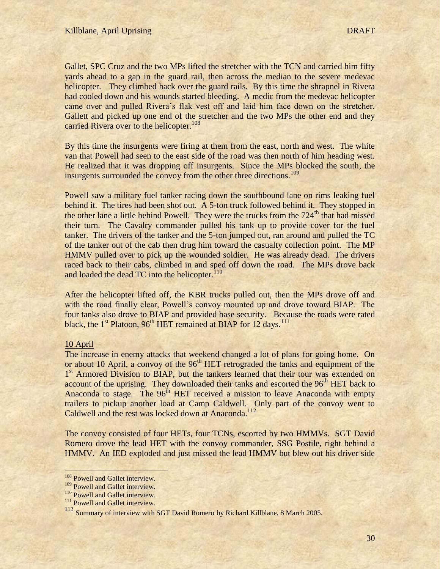Gallet, SPC Cruz and the two MPs lifted the stretcher with the TCN and carried him fifty yards ahead to a gap in the guard rail, then across the median to the severe medevac helicopter. They climbed back over the guard rails. By this time the shrapnel in Rivera had cooled down and his wounds started bleeding. A medic from the medevac helicopter came over and pulled Rivera"s flak vest off and laid him face down on the stretcher. Gallett and picked up one end of the stretcher and the two MPs the other end and they carried Rivera over to the helicopter.<sup>108</sup>

By this time the insurgents were firing at them from the east, north and west. The white van that Powell had seen to the east side of the road was then north of him heading west. He realized that it was dropping off insurgents. Since the MPs blocked the south, the insurgents surrounded the convoy from the other three directions.<sup>109</sup>

Powell saw a military fuel tanker racing down the southbound lane on rims leaking fuel behind it. The tires had been shot out. A 5-ton truck followed behind it. They stopped in the other lane a little behind Powell. They were the trucks from the  $724<sup>th</sup>$  that had missed their turn. The Cavalry commander pulled his tank up to provide cover for the fuel tanker. The drivers of the tanker and the 5-ton jumped out, ran around and pulled the TC of the tanker out of the cab then drug him toward the casualty collection point. The MP HMMV pulled over to pick up the wounded soldier. He was already dead. The drivers raced back to their cabs, climbed in and sped off down the road. The MPs drove back and loaded the dead TC into the helicopter. $110$ 

After the helicopter lifted off, the KBR trucks pulled out, then the MPs drove off and with the road finally clear, Powell's convoy mounted up and drove toward BIAP. The four tanks also drove to BIAP and provided base security. Because the roads were rated black, the  $1<sup>st</sup>$  Platoon, 96<sup>th</sup> HET remained at BIAP for 12 days.<sup>111</sup>

# 10 April

 $\overline{a}$ 

The increase in enemy attacks that weekend changed a lot of plans for going home. On or about 10 April, a convoy of the  $96<sup>th</sup> HET$  retrograded the tanks and equipment of the 1<sup>st</sup> Armored Division to BIAP, but the tankers learned that their tour was extended on account of the uprising. They downloaded their tanks and escorted the 96<sup>th</sup> HET back to Anaconda to stage. The 96<sup>th</sup> HET received a mission to leave Anaconda with empty trailers to pickup another load at Camp Caldwell. Only part of the convoy went to Caldwell and the rest was locked down at Anaconda.<sup>112</sup>

The convoy consisted of four HETs, four TCNs, escorted by two HMMVs. SGT David Romero drove the lead HET with the convoy commander, SSG Postile, right behind a HMMV. An IED exploded and just missed the lead HMMV but blew out his driver side

<sup>&</sup>lt;sup>108</sup> Powell and Gallet interview.

<sup>&</sup>lt;sup>109</sup> Powell and Gallet interview.

<sup>&</sup>lt;sup>110</sup> Powell and Gallet interview.

<sup>&</sup>lt;sup>111</sup> Powell and Gallet interview.

<sup>112</sup> Summary of interview with SGT David Romero by Richard Killblane, 8 March 2005.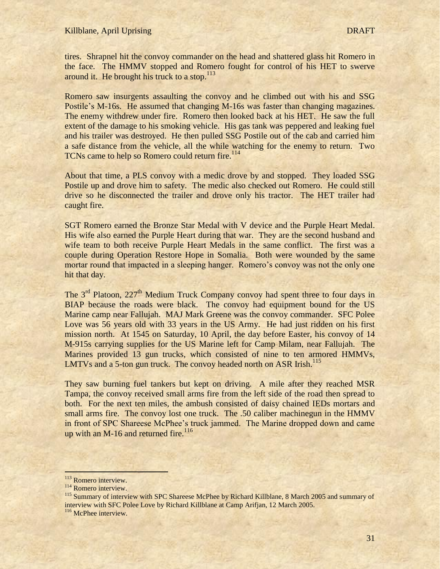tires. Shrapnel hit the convoy commander on the head and shattered glass hit Romero in the face. The HMMV stopped and Romero fought for control of his HET to swerve around it. He brought his truck to a stop. $113$ 

Romero saw insurgents assaulting the convoy and he climbed out with his and SSG Postile's M-16s. He assumed that changing M-16s was faster than changing magazines. The enemy withdrew under fire. Romero then looked back at his HET. He saw the full extent of the damage to his smoking vehicle. His gas tank was peppered and leaking fuel and his trailer was destroyed. He then pulled SSG Postile out of the cab and carried him a safe distance from the vehicle, all the while watching for the enemy to return. Two TCNs came to help so Romero could return fire.<sup>114</sup>

About that time, a PLS convoy with a medic drove by and stopped. They loaded SSG Postile up and drove him to safety. The medic also checked out Romero. He could still drive so he disconnected the trailer and drove only his tractor. The HET trailer had caught fire.

SGT Romero earned the Bronze Star Medal with V device and the Purple Heart Medal. His wife also earned the Purple Heart during that war. They are the second husband and wife team to both receive Purple Heart Medals in the same conflict. The first was a couple during Operation Restore Hope in Somalia. Both were wounded by the same mortar round that impacted in a sleeping hanger. Romero's convoy was not the only one hit that day.

The  $3<sup>rd</sup>$  Platoon,  $227<sup>th</sup>$  Medium Truck Company convoy had spent three to four days in BIAP because the roads were black. The convoy had equipment bound for the US Marine camp near Fallujah. MAJ Mark Greene was the convoy commander. SFC Polee Love was 56 years old with 33 years in the US Army. He had just ridden on his first mission north. At 1545 on Saturday, 10 April, the day before Easter, his convoy of 14 M-915s carrying supplies for the US Marine left for Camp Milam, near Fallujah. The Marines provided 13 gun trucks, which consisted of nine to ten armored HMMVs, LMTVs and a 5-ton gun truck. The convoy headed north on ASR Irish.<sup>115</sup>

They saw burning fuel tankers but kept on driving. A mile after they reached MSR Tampa, the convoy received small arms fire from the left side of the road then spread to both. For the next ten miles, the ambush consisted of daisy chained IEDs mortars and small arms fire. The convoy lost one truck. The .50 caliber machinegun in the HMMV in front of SPC Shareese McPhee"s truck jammed. The Marine dropped down and came up with an M-16 and returned fire.<sup>116</sup>

<sup>&</sup>lt;sup>113</sup> Romero interview.

<sup>114</sup> Romero interview.

<sup>&</sup>lt;sup>115</sup> Summary of interview with SPC Shareese McPhee by Richard Killblane, 8 March 2005 and summary of interview with SFC Polee Love by Richard Killblane at Camp Arifjan, 12 March 2005.

<sup>&</sup>lt;sup>116</sup> McPhee interview.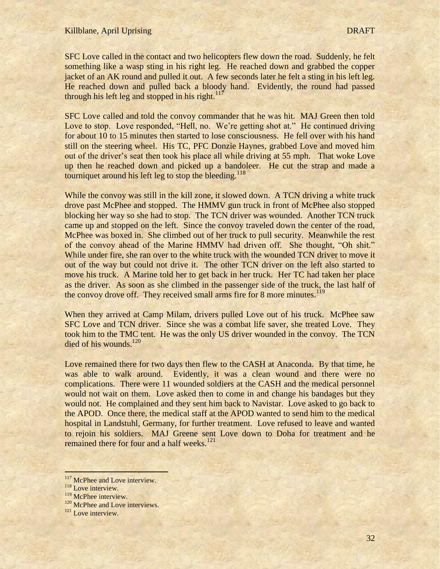SFC Love called in the contact and two helicopters flew down the road. Suddenly, he felt something like a wasp sting in his right leg. He reached down and grabbed the copper jacket of an AK round and pulled it out. A few seconds later he felt a sting in his left leg. He reached down and pulled back a bloody hand. Evidently, the round had passed through his left leg and stopped in his right.<sup>117</sup>

SFC Love called and told the convoy commander that he was hit. MAJ Green then told Love to stop. Love responded, "Hell, no. We're getting shot at." He continued driving for about 10 to 15 minutes then started to lose consciousness. He fell over with his hand still on the steering wheel. His TC, PFC Donzie Haynes, grabbed Love and moved him out of the driver's seat then took his place all while driving at 55 mph. That woke Love up then he reached down and picked up a bandoleer. He cut the strap and made a tourniquet around his left leg to stop the bleeding.<sup>118</sup>

While the convoy was still in the kill zone, it slowed down. A TCN driving a white truck drove past McPhee and stopped. The HMMV gun truck in front of McPhee also stopped blocking her way so she had to stop. The TCN driver was wounded. Another TCN truck came up and stopped on the left. Since the convoy traveled down the center of the road, McPhee was boxed in. She climbed out of her truck to pull security. Meanwhile the rest of the convoy ahead of the Marine HMMV had driven off. She thought, "Oh shit." While under fire, she ran over to the white truck with the wounded TCN driver to move it out of the way but could not drive it. The other TCN driver on the left also started to move his truck. A Marine told her to get back in her truck. Her TC had taken her place as the driver. As soon as she climbed in the passenger side of the truck, the last half of the convoy drove off. They received small arms fire for 8 more minutes.<sup>119</sup>

When they arrived at Camp Milam, drivers pulled Love out of his truck. McPhee saw SFC Love and TCN driver. Since she was a combat life saver, she treated Love. They took him to the TMC tent. He was the only US driver wounded in the convoy. The TCN died of his wounds.<sup>120</sup>

Love remained there for two days then flew to the CASH at Anaconda. By that time, he was able to walk around. Evidently, it was a clean wound and there were no complications. There were 11 wounded soldiers at the CASH and the medical personnel would not wait on them. Love asked then to come in and change his bandages but they would not. He complained and they sent him back to Navistar. Love asked to go back to the APOD. Once there, the medical staff at the APOD wanted to send him to the medical hospital in Landstuhl, Germany, for further treatment. Love refused to leave and wanted to rejoin his soldiers. MAJ Greene sent Love down to Doha for treatment and he remained there for four and a half weeks.<sup>121</sup>

<sup>&</sup>lt;sup>117</sup> McPhee and Love interview.

<sup>&</sup>lt;sup>118</sup> Love interview.

<sup>&</sup>lt;sup>119</sup> McPhee interview.

<sup>&</sup>lt;sup>120</sup> McPhee and Love interviews.

<sup>&</sup>lt;sup>121</sup> Love interview.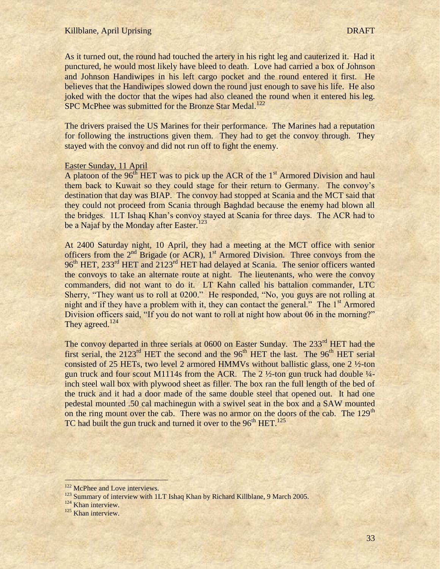As it turned out, the round had touched the artery in his right leg and cauterized it. Had it punctured, he would most likely have bleed to death. Love had carried a box of Johnson and Johnson Handiwipes in his left cargo pocket and the round entered it first. He believes that the Handiwipes slowed down the round just enough to save his life. He also joked with the doctor that the wipes had also cleaned the round when it entered his leg. SPC McPhee was submitted for the Bronze Star Medal.<sup>122</sup>

The drivers praised the US Marines for their performance. The Marines had a reputation for following the instructions given them. They had to get the convoy through. They stayed with the convoy and did not run off to fight the enemy.

### Easter Sunday, 11 April

A platoon of the  $96<sup>th</sup> HET$  was to pick up the ACR of the  $1<sup>st</sup>$  Armored Division and haul them back to Kuwait so they could stage for their return to Germany. The convoy"s destination that day was BIAP. The convoy had stopped at Scania and the MCT said that they could not proceed from Scania through Baghdad because the enemy had blown all the bridges. 1LT Ishaq Khan"s convoy stayed at Scania for three days. The ACR had to be a Najaf by the Monday after Easter.<sup>123</sup>

At 2400 Saturday night, 10 April, they had a meeting at the MCT office with senior officers from the  $2<sup>nd</sup>$  Brigade (or ACR),  $1<sup>st</sup>$  Armored Division. Three convoys from the 96<sup>th</sup> HET, 233<sup>rd</sup> HET and 2123<sup>rd</sup> HET had delayed at Scania. The senior officers wanted the convoys to take an alternate route at night. The lieutenants, who were the convoy commanders, did not want to do it. LT Kahn called his battalion commander, LTC Sherry, "They want us to roll at 0200." He responded, "No, you guys are not rolling at night and if they have a problem with it, they can contact the general." The  $1<sup>st</sup>$  Armored Division officers said, "If you do not want to roll at night how about 06 in the morning?" They agreed.<sup>124</sup>

The convoy departed in three serials at 0600 on Easter Sunday. The 233<sup>rd</sup> HET had the first serial, the  $2123<sup>rd</sup> HET$  the second and the  $96<sup>th</sup> HET$  the last. The  $96<sup>th</sup> HET$  serial consisted of 25 HETs, two level 2 armored HMMVs without ballistic glass, one  $2\frac{1}{2}$ -ton gun truck and four scout M1114s from the ACR. The 2  $\frac{1}{2}$ -ton gun truck had double  $\frac{1}{4}$ inch steel wall box with plywood sheet as filler. The box ran the full length of the bed of the truck and it had a door made of the same double steel that opened out. It had one pedestal mounted .50 cal machinegun with a swivel seat in the box and a SAW mounted on the ring mount over the cab. There was no armor on the doors of the cab. The 129<sup>th</sup> TC had built the gun truck and turned it over to the  $96<sup>th</sup> HET$ <sup>125</sup>

<sup>&</sup>lt;sup>122</sup> McPhee and Love interviews.

<sup>&</sup>lt;sup>123</sup> Summary of interview with 1LT Ishaq Khan by Richard Killblane, 9 March 2005.

<sup>&</sup>lt;sup>124</sup> Khan interview.

<sup>&</sup>lt;sup>125</sup> Khan interview.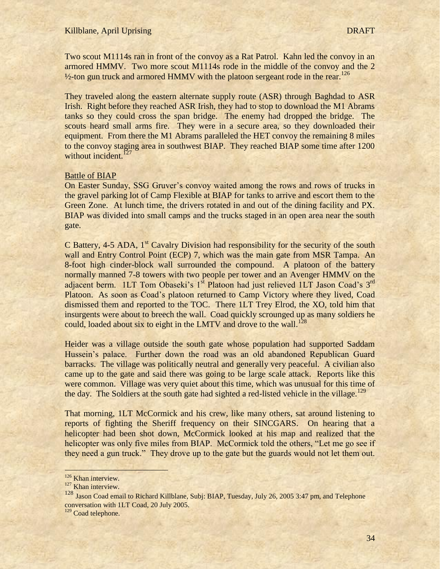Two scout M1114s ran in front of the convoy as a Rat Patrol. Kahn led the convoy in an armored HMMV. Two more scout M1114s rode in the middle of the convoy and the 2  $\frac{1}{2}$ -ton gun truck and armored HMMV with the platoon sergeant rode in the rear.<sup>126</sup>

They traveled along the eastern alternate supply route (ASR) through Baghdad to ASR Irish. Right before they reached ASR Irish, they had to stop to download the M1 Abrams tanks so they could cross the span bridge. The enemy had dropped the bridge. The scouts heard small arms fire. They were in a secure area, so they downloaded their equipment. From there the M1 Abrams paralleled the HET convoy the remaining 8 miles to the convoy staging area in southwest BIAP. They reached BIAP some time after 1200 without incident. $127$ 

### Battle of BIAP

On Easter Sunday, SSG Gruver"s convoy waited among the rows and rows of trucks in the gravel parking lot of Camp Flexible at BIAP for tanks to arrive and escort them to the Green Zone. At lunch time, the drivers rotated in and out of the dining facility and PX. BIAP was divided into small camps and the trucks staged in an open area near the south gate.

C Battery, 4-5 ADA,  $1<sup>st</sup>$  Cavalry Division had responsibility for the security of the south wall and Entry Control Point (ECP) 7, which was the main gate from MSR Tampa. An 8-foot high cinder-block wall surrounded the compound. A platoon of the battery normally manned 7-8 towers with two people per tower and an Avenger HMMV on the adjacent berm. 1LT Tom Obaseki's 1<sup>st</sup> Platoon had just relieved 1LT Jason Coad's 3<sup>rd</sup> Platoon. As soon as Coad"s platoon returned to Camp Victory where they lived, Coad dismissed them and reported to the TOC. There 1LT Trey Elrod, the XO, told him that insurgents were about to breech the wall. Coad quickly scrounged up as many soldiers he could, loaded about six to eight in the LMTV and drove to the wall.<sup>128</sup>

Heider was a village outside the south gate whose population had supported Saddam Hussein"s palace. Further down the road was an old abandoned Republican Guard barracks. The village was politically neutral and generally very peaceful. A civilian also came up to the gate and said there was going to be large scale attack. Reports like this were common. Village was very quiet about this time, which was unusual for this time of the day. The Soldiers at the south gate had sighted a red-listed vehicle in the village.<sup>129</sup>

That morning, 1LT McCormick and his crew, like many others, sat around listening to reports of fighting the Sheriff frequency on their SINCGARS. On hearing that a helicopter had been shot down, McCormick looked at his map and realized that the helicopter was only five miles from BIAP. McCormick told the others, "Let me go see if they need a gun truck." They drove up to the gate but the guards would not let them out.

<sup>&</sup>lt;sup>126</sup> Khan interview.

<sup>&</sup>lt;sup>127</sup> Khan interview.

<sup>128</sup> Jason Coad email to Richard Killblane, Subj: BIAP, Tuesday, July 26, 2005 3:47 pm, and Telephone conversation with 1LT Coad, 20 July 2005.

<sup>&</sup>lt;sup>129</sup> Coad telephone.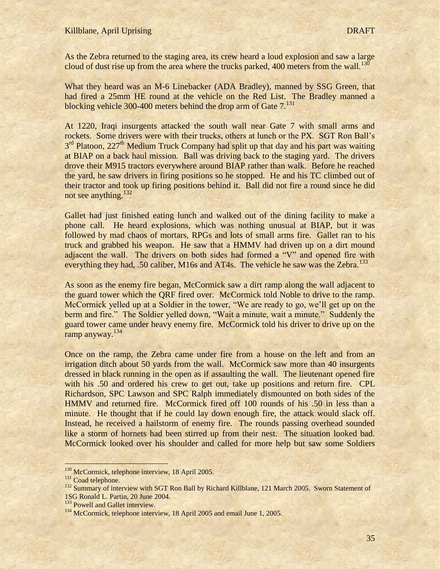As the Zebra returned to the staging area, its crew heard a loud explosion and saw a large cloud of dust rise up from the area where the trucks parked, 400 meters from the wall.<sup>130</sup>

What they heard was an M-6 Linebacker (ADA Bradley), manned by SSG Green, that had fired a 25mm HE round at the vehicle on the Red List. The Bradley manned a blocking vehicle 300-400 meters behind the drop arm of Gate 7.<sup>131</sup>

At 1220, Iraqi insurgents attacked the south wall near Gate 7 with small arms and rockets. Some drivers were with their trucks, others at lunch or the PX. SGT Ron Ball"s 3<sup>rd</sup> Platoon, 227<sup>th</sup> Medium Truck Company had split up that day and his part was waiting at BIAP on a back haul mission. Ball was driving back to the staging yard. The drivers drove their M915 tractors everywhere around BIAP rather than walk. Before he reached the yard, he saw drivers in firing positions so he stopped. He and his TC climbed out of their tractor and took up firing positions behind it. Ball did not fire a round since he did not see anything.<sup>132</sup>

Gallet had just finished eating lunch and walked out of the dining facility to make a phone call. He heard explosions, which was nothing unusual at BIAP, but it was followed by mad chaos of mortars, RPGs and lots of small arms fire. Gallet ran to his truck and grabbed his weapon. He saw that a HMMV had driven up on a dirt mound adjacent the wall. The drivers on both sides had formed a "V" and opened fire with everything they had, .50 caliber, M16s and AT4s. The vehicle he saw was the Zebra.<sup>133</sup>

As soon as the enemy fire began, McCormick saw a dirt ramp along the wall adjacent to the guard tower which the QRF fired over. McCormick told Noble to drive to the ramp. McCormick yelled up at a Soldier in the tower, "We are ready to go, we'll get up on the berm and fire." The Soldier yelled down, "Wait a minute, wait a minute." Suddenly the guard tower came under heavy enemy fire. McCormick told his driver to drive up on the ramp anyway.<sup>134</sup>

Once on the ramp, the Zebra came under fire from a house on the left and from an irrigation ditch about 50 yards from the wall. McCormick saw more than 40 insurgents dressed in black running in the open as if assaulting the wall. The lieutenant opened fire with his .50 and ordered his crew to get out, take up positions and return fire. CPL Richardson, SPC Lawson and SPC Ralph immediately dismounted on both sides of the HMMV and returned fire. McCormick fired off 100 rounds of his .50 in less than a minute. He thought that if he could lay down enough fire, the attack would slack off. Instead, he received a hailstorm of enemy fire. The rounds passing overhead sounded like a storm of hornets had been stirred up from their nest. The situation looked bad. McCormick looked over his shoulder and called for more help but saw some Soldiers

<sup>&</sup>lt;sup>130</sup> McCormick, telephone interview, 18 April 2005.

<sup>&</sup>lt;sup>131</sup> Coad telephone.

<sup>&</sup>lt;sup>132</sup> Summary of interview with SGT Ron Ball by Richard Killblane, 121 March 2005. Sworn Statement of 1SG Ronald L. Partin, 20 June 2004.

<sup>&</sup>lt;sup>133</sup> Powell and Gallet interview.

<sup>&</sup>lt;sup>134</sup> McCormick, telephone interview, 18 April 2005 and email June 1, 2005.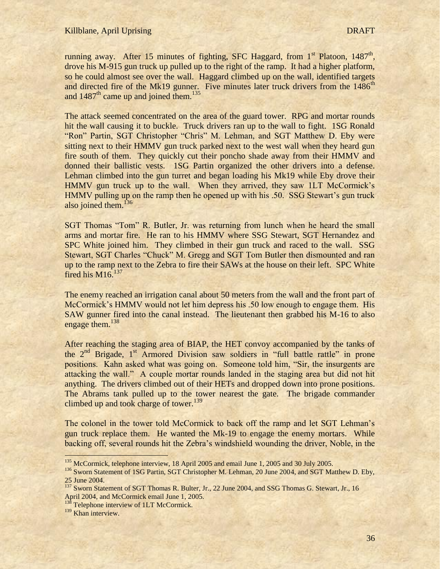running away. After 15 minutes of fighting, SFC Haggard, from 1<sup>st</sup> Platoon, 1487<sup>th</sup>, drove his M-915 gun truck up pulled up to the right of the ramp. It had a higher platform, so he could almost see over the wall. Haggard climbed up on the wall, identified targets and directed fire of the Mk19 gunner. Five minutes later truck drivers from the 1486<sup>th</sup> and  $1487<sup>th</sup>$  came up and joined them.<sup>135</sup>

The attack seemed concentrated on the area of the guard tower. RPG and mortar rounds hit the wall causing it to buckle. Truck drivers ran up to the wall to fight. 1SG Ronald "Ron" Partin, SGT Christopher "Chris" M. Lehman, and SGT Matthew D. Eby were sitting next to their HMMV gun truck parked next to the west wall when they heard gun fire south of them. They quickly cut their poncho shade away from their HMMV and donned their ballistic vests. 1SG Partin organized the other drivers into a defense. Lehman climbed into the gun turret and began loading his Mk19 while Eby drove their HMMV gun truck up to the wall. When they arrived, they saw 1LT McCormick's HMMV pulling up on the ramp then he opened up with his .50. SSG Stewart"s gun truck also joined them.<sup>136</sup>

SGT Thomas "Tom" R. Butler, Jr. was returning from lunch when he heard the small arms and mortar fire. He ran to his HMMV where SSG Stewart, SGT Hernandez and SPC White joined him. They climbed in their gun truck and raced to the wall. SSG Stewart, SGT Charles "Chuck" M. Gregg and SGT Tom Butler then dismounted and ran up to the ramp next to the Zebra to fire their SAWs at the house on their left. SPC White fired his M16. $137$ 

The enemy reached an irrigation canal about 50 meters from the wall and the front part of McCormick's HMMV would not let him depress his .50 low enough to engage them. His SAW gunner fired into the canal instead. The lieutenant then grabbed his M-16 to also engage them.<sup>138</sup>

After reaching the staging area of BIAP, the HET convoy accompanied by the tanks of the 2<sup>nd</sup> Brigade, 1<sup>st</sup> Armored Division saw soldiers in "full battle rattle" in prone positions. Kahn asked what was going on. Someone told him, "Sir, the insurgents are attacking the wall." A couple mortar rounds landed in the staging area but did not hit anything. The drivers climbed out of their HETs and dropped down into prone positions. The Abrams tank pulled up to the tower nearest the gate. The brigade commander climbed up and took charge of tower.<sup>139</sup>

The colonel in the tower told McCormick to back off the ramp and let SGT Lehman"s gun truck replace them. He wanted the Mk-19 to engage the enemy mortars. While backing off, several rounds hit the Zebra"s windshield wounding the driver, Noble, in the

j

<sup>&</sup>lt;sup>135</sup> McCormick, telephone interview, 18 April 2005 and email June 1, 2005 and 30 July 2005.

<sup>&</sup>lt;sup>136</sup> Sworn Statement of 1SG Partin, SGT Christopher M. Lehman, 20 June 2004, and SGT Matthew D. Eby, 25 June 2004.

<sup>&</sup>lt;sup>137</sup> Sworn Statement of SGT Thomas R. Bulter, Jr., 22 June 2004, and SSG Thomas G. Stewart, Jr., 16 April 2004, and McCormick email June 1, 2005.

<sup>&</sup>lt;sup>138</sup> Telephone interview of 1LT McCormick.

<sup>&</sup>lt;sup>139</sup> Khan interview.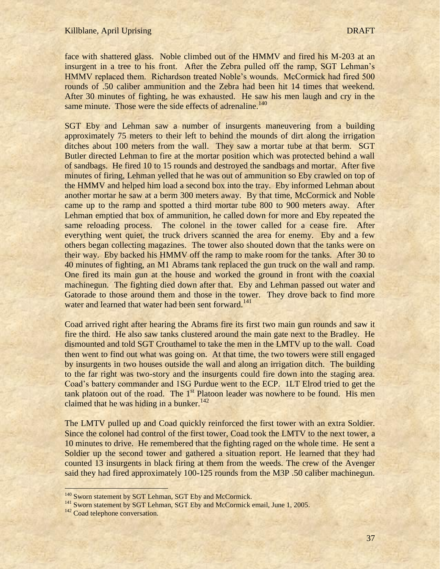face with shattered glass. Noble climbed out of the HMMV and fired his M-203 at an insurgent in a tree to his front. After the Zebra pulled off the ramp, SGT Lehman"s HMMV replaced them. Richardson treated Noble"s wounds. McCormick had fired 500 rounds of .50 caliber ammunition and the Zebra had been hit 14 times that weekend. After 30 minutes of fighting, he was exhausted. He saw his men laugh and cry in the same minute. Those were the side effects of adrenaline.<sup>140</sup>

SGT Eby and Lehman saw a number of insurgents maneuvering from a building approximately 75 meters to their left to behind the mounds of dirt along the irrigation ditches about 100 meters from the wall. They saw a mortar tube at that berm. SGT Butler directed Lehman to fire at the mortar position which was protected behind a wall of sandbags. He fired 10 to 15 rounds and destroyed the sandbags and mortar. After five minutes of firing, Lehman yelled that he was out of ammunition so Eby crawled on top of the HMMV and helped him load a second box into the tray. Eby informed Lehman about another mortar he saw at a berm 300 meters away. By that time, McCormick and Noble came up to the ramp and spotted a third mortar tube 800 to 900 meters away. After Lehman emptied that box of ammunition, he called down for more and Eby repeated the same reloading process. The colonel in the tower called for a cease fire. After everything went quiet, the truck drivers scanned the area for enemy. Eby and a few others began collecting magazines. The tower also shouted down that the tanks were on their way. Eby backed his HMMV off the ramp to make room for the tanks. After 30 to 40 minutes of fighting, an M1 Abrams tank replaced the gun truck on the wall and ramp. One fired its main gun at the house and worked the ground in front with the coaxial machinegun. The fighting died down after that. Eby and Lehman passed out water and Gatorade to those around them and those in the tower. They drove back to find more water and learned that water had been sent forward.<sup>141</sup>

Coad arrived right after hearing the Abrams fire its first two main gun rounds and saw it fire the third. He also saw tanks clustered around the main gate next to the Bradley. He dismounted and told SGT Crouthamel to take the men in the LMTV up to the wall. Coad then went to find out what was going on. At that time, the two towers were still engaged by insurgents in two houses outside the wall and along an irrigation ditch. The building to the far right was two-story and the insurgents could fire down into the staging area. Coad"s battery commander and 1SG Purdue went to the ECP. 1LT Elrod tried to get the tank platoon out of the road. The  $1<sup>st</sup>$  Platoon leader was nowhere to be found. His men claimed that he was hiding in a bunker.<sup>142</sup>

The LMTV pulled up and Coad quickly reinforced the first tower with an extra Soldier. Since the colonel had control of the first tower, Coad took the LMTV to the next tower, a 10 minutes to drive. He remembered that the fighting raged on the whole time. He sent a Soldier up the second tower and gathered a situation report. He learned that they had counted 13 insurgents in black firing at them from the weeds. The crew of the Avenger said they had fired approximately 100-125 rounds from the M3P .50 caliber machinegun.

<sup>&</sup>lt;sup>140</sup> Sworn statement by SGT Lehman, SGT Eby and McCormick.

<sup>&</sup>lt;sup>141</sup> Sworn statement by SGT Lehman, SGT Eby and McCormick email, June 1, 2005.

<sup>&</sup>lt;sup>142</sup> Coad telephone conversation.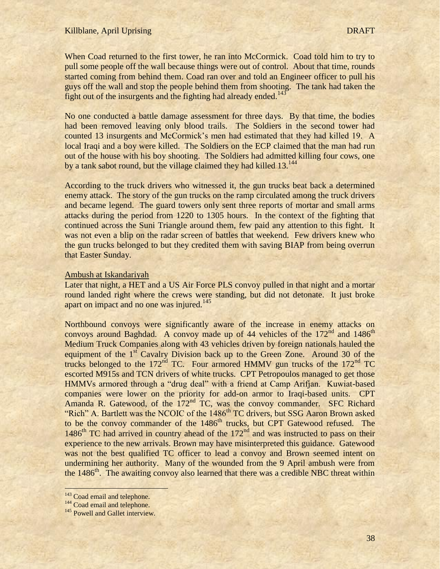When Coad returned to the first tower, he ran into McCormick. Coad told him to try to pull some people off the wall because things were out of control. About that time, rounds started coming from behind them. Coad ran over and told an Engineer officer to pull his guys off the wall and stop the people behind them from shooting. The tank had taken the fight out of the insurgents and the fighting had already ended.<sup>143</sup>

No one conducted a battle damage assessment for three days. By that time, the bodies had been removed leaving only blood trails. The Soldiers in the second tower had counted 13 insurgents and McCormick"s men had estimated that they had killed 19. A local Iraqi and a boy were killed. The Soldiers on the ECP claimed that the man had run out of the house with his boy shooting. The Soldiers had admitted killing four cows, one by a tank sabot round, but the village claimed they had killed 13.<sup>144</sup>

According to the truck drivers who witnessed it, the gun trucks beat back a determined enemy attack. The story of the gun trucks on the ramp circulated among the truck drivers and became legend. The guard towers only sent three reports of mortar and small arms attacks during the period from 1220 to 1305 hours. In the context of the fighting that continued across the Suni Triangle around them, few paid any attention to this fight. It was not even a blip on the radar screen of battles that weekend. Few drivers knew who the gun trucks belonged to but they credited them with saving BIAP from being overrun that Easter Sunday.

#### Ambush at Iskandariyah

Later that night, a HET and a US Air Force PLS convoy pulled in that night and a mortar round landed right where the crews were standing, but did not detonate. It just broke apart on impact and no one was injured.<sup>145</sup>

Northbound convoys were significantly aware of the increase in enemy attacks on convoys around Baghdad. A convoy made up of 44 vehicles of the  $172<sup>nd</sup>$  and  $1486<sup>th</sup>$ Medium Truck Companies along with 43 vehicles driven by foreign nationals hauled the equipment of the  $1<sup>st</sup>$  Cavalry Division back up to the Green Zone. Around 30 of the trucks belonged to the  $172<sup>nd</sup>$  TC. Four armored HMMV gun trucks of the  $172<sup>nd</sup>$  TC escorted M915s and TCN drivers of white trucks. CPT Petropoulos managed to get those HMMVs armored through a "drug deal" with a friend at Camp Arifjan. Kuwiat-based companies were lower on the priority for add-on armor to Iraqi-based units. CPT Amanda R. Gatewood, of the  $172<sup>nd</sup>$  TC, was the convoy commander. SFC Richard "Rich" A. Bartlett was the NCOIC of the 1486<sup>th</sup> TC drivers, but SSG Aaron Brown asked to be the convoy commander of the 1486<sup>th</sup> trucks, but CPT Gatewood refused. The  $1486<sup>th</sup>$  TC had arrived in country ahead of the  $172<sup>nd</sup>$  and was instructed to pass on their experience to the new arrivals. Brown may have misinterpreted this guidance. Gatewood was not the best qualified TC officer to lead a convoy and Brown seemed intent on undermining her authority. Many of the wounded from the 9 April ambush were from the 1486<sup>th</sup>. The awaiting convoy also learned that there was a credible NBC threat within

<sup>&</sup>lt;sup>143</sup> Coad email and telephone.

<sup>&</sup>lt;sup>144</sup> Coad email and telephone.

<sup>&</sup>lt;sup>145</sup> Powell and Gallet interview.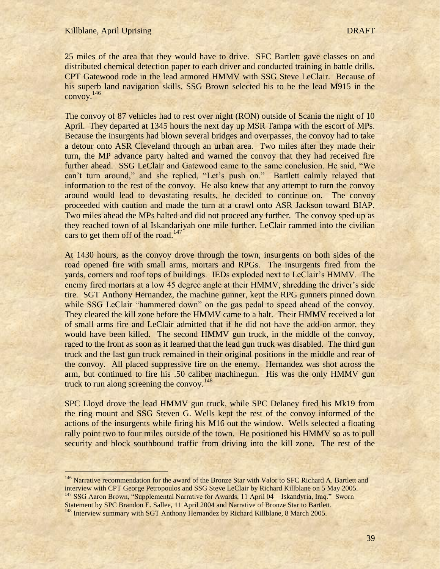$\overline{1}$ 

25 miles of the area that they would have to drive. SFC Bartlett gave classes on and distributed chemical detection paper to each driver and conducted training in battle drills. CPT Gatewood rode in the lead armored HMMV with SSG Steve LeClair. Because of his superb land navigation skills, SSG Brown selected his to be the lead M915 in the convoy.<sup>146</sup>

The convoy of 87 vehicles had to rest over night (RON) outside of Scania the night of 10 April. They departed at 1345 hours the next day up MSR Tampa with the escort of MPs. Because the insurgents had blown several bridges and overpasses, the convoy had to take a detour onto ASR Cleveland through an urban area. Two miles after they made their turn, the MP advance party halted and warned the convoy that they had received fire further ahead. SSG LeClair and Gatewood came to the same conclusion. He said, "We can't turn around," and she replied, "Let's push on." Bartlett calmly relayed that information to the rest of the convoy. He also knew that any attempt to turn the convoy around would lead to devastating results, he decided to continue on. The convoy proceeded with caution and made the turn at a crawl onto ASR Jackson toward BIAP. Two miles ahead the MPs halted and did not proceed any further. The convoy sped up as they reached town of al Iskandariyah one mile further. LeClair rammed into the civilian cars to get them off of the road.<sup>147</sup>

At 1430 hours, as the convoy drove through the town, insurgents on both sides of the road opened fire with small arms, mortars and RPGs. The insurgents fired from the yards, corners and roof tops of buildings. IEDs exploded next to LeClair"s HMMV. The enemy fired mortars at a low 45 degree angle at their HMMV, shredding the driver's side tire. SGT Anthony Hernandez, the machine gunner, kept the RPG gunners pinned down while SSG LeClair "hammered down" on the gas pedal to speed ahead of the convoy. They cleared the kill zone before the HMMV came to a halt. Their HMMV received a lot of small arms fire and LeClair admitted that if he did not have the add-on armor, they would have been killed. The second HMMV gun truck, in the middle of the convoy, raced to the front as soon as it learned that the lead gun truck was disabled. The third gun truck and the last gun truck remained in their original positions in the middle and rear of the convoy. All placed suppressive fire on the enemy. Hernandez was shot across the arm, but continued to fire his .50 caliber machinegun. His was the only HMMV gun truck to run along screening the convoy.<sup>148</sup>

SPC Lloyd drove the lead HMMV gun truck, while SPC Delaney fired his Mk19 from the ring mount and SSG Steven G. Wells kept the rest of the convoy informed of the actions of the insurgents while firing his M16 out the window. Wells selected a floating rally point two to four miles outside of the town. He positioned his HMMV so as to pull security and block southbound traffic from driving into the kill zone. The rest of the

Statement by SPC Brandon E. Sallee, 11 April 2004 and Narrative of Bronze Star to Bartlett.

<sup>&</sup>lt;sup>146</sup> Narrative recommendation for the award of the Bronze Star with Valor to SFC Richard A. Bartlett and interview with CPT George Petropoulos and SSG Steve LeClair by Richard Killblane on 5 May 2005. <sup>147</sup> SSG Aaron Brown, "Supplemental Narrative for Awards, 11 April 04 – Iskandyria, Iraq." Sworn

<sup>&</sup>lt;sup>148</sup> Interview summary with SGT Anthony Hernandez by Richard Killblane, 8 March 2005.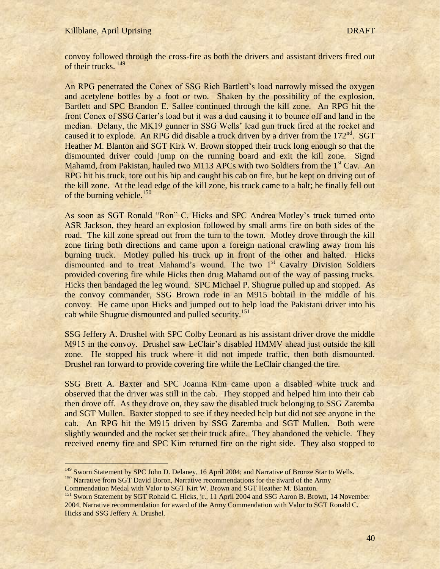### Killblane, April Uprising DRAFT

 $\overline{a}$ 

convoy followed through the cross-fire as both the drivers and assistant drivers fired out of their trucks.<sup>149</sup>

An RPG penetrated the Conex of SSG Rich Bartlett's load narrowly missed the oxygen and acetylene bottles by a foot or two. Shaken by the possibility of the explosion, Bartlett and SPC Brandon E. Sallee continued through the kill zone. An RPG hit the front Conex of SSG Carter"s load but it was a dud causing it to bounce off and land in the median. Delany, the MK19 gunner in SSG Wells' lead gun truck fired at the rocket and caused it to explode. An RPG did disable a truck driven by a driver from the  $172<sup>nd</sup>$ . SGT Heather M. Blanton and SGT Kirk W. Brown stopped their truck long enough so that the dismounted driver could jump on the running board and exit the kill zone. Signd Mahamd, from Pakistan, hauled two M113 APCs with two Soldiers from the  $1<sup>st</sup>$  Cav. An RPG hit his truck, tore out his hip and caught his cab on fire, but he kept on driving out of the kill zone. At the lead edge of the kill zone, his truck came to a halt; he finally fell out of the burning vehicle.<sup>150</sup>

As soon as SGT Ronald "Ron" C. Hicks and SPC Andrea Motley"s truck turned onto ASR Jackson, they heard an explosion followed by small arms fire on both sides of the road. The kill zone spread out from the turn to the town. Motley drove through the kill zone firing both directions and came upon a foreign national crawling away from his burning truck. Motley pulled his truck up in front of the other and halted. Hicks dismounted and to treat Mahamd's wound. The two 1<sup>st</sup> Cavalry Division Soldiers provided covering fire while Hicks then drug Mahamd out of the way of passing trucks. Hicks then bandaged the leg wound. SPC Michael P. Shugrue pulled up and stopped. As the convoy commander, SSG Brown rode in an M915 bobtail in the middle of his convoy. He came upon Hicks and jumped out to help load the Pakistani driver into his cab while Shugrue dismounted and pulled security.<sup>151</sup>

SSG Jeffery A. Drushel with SPC Colby Leonard as his assistant driver drove the middle M915 in the convoy. Drushel saw LeClair's disabled HMMV ahead just outside the kill zone. He stopped his truck where it did not impede traffic, then both dismounted. Drushel ran forward to provide covering fire while the LeClair changed the tire.

SSG Brett A. Baxter and SPC Joanna Kim came upon a disabled white truck and observed that the driver was still in the cab. They stopped and helped him into their cab then drove off. As they drove on, they saw the disabled truck belonging to SSG Zaremba and SGT Mullen. Baxter stopped to see if they needed help but did not see anyone in the cab. An RPG hit the M915 driven by SSG Zaremba and SGT Mullen. Both were slightly wounded and the rocket set their truck afire. They abandoned the vehicle. They received enemy fire and SPC Kim returned fire on the right side. They also stopped to

<sup>149</sup> Sworn Statement by SPC John D. Delaney, 16 April 2004; and Narrative of Bronze Star to Wells. <sup>150</sup> Narrative from SGT David Boron, Narrative recommendations for the award of the Army

Commendation Medal with Valor to SGT Kirt W. Brown and SGT Heather M. Blanton.

<sup>&</sup>lt;sup>151</sup> Sworn Statement by SGT Rohald C. Hicks, jr., 11 April 2004 and SSG Aaron B. Brown, 14 November 2004, Narrative recommendation for award of the Army Commendation with Valor to SGT Ronald C. Hicks and SSG Jeffery A. Drushel.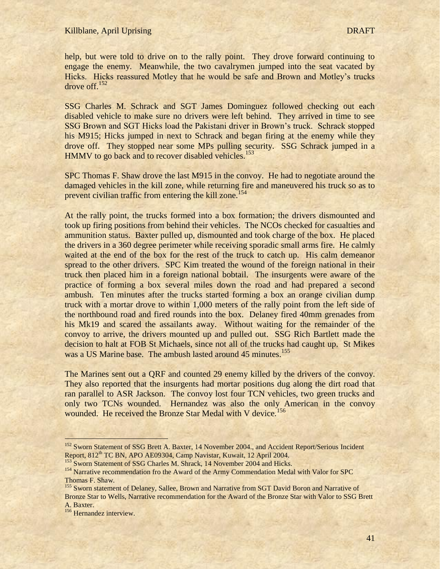help, but were told to drive on to the rally point. They drove forward continuing to engage the enemy. Meanwhile, the two cavalrymen jumped into the seat vacated by Hicks. Hicks reassured Motley that he would be safe and Brown and Motley"s trucks drove off.<sup>152</sup>

SSG Charles M. Schrack and SGT James Dominguez followed checking out each disabled vehicle to make sure no drivers were left behind. They arrived in time to see SSG Brown and SGT Hicks load the Pakistani driver in Brown"s truck. Schrack stopped his M915; Hicks jumped in next to Schrack and began firing at the enemy while they drove off. They stopped near some MPs pulling security. SSG Schrack jumped in a HMMV to go back and to recover disabled vehicles.<sup>153</sup>

SPC Thomas F. Shaw drove the last M915 in the convoy. He had to negotiate around the damaged vehicles in the kill zone, while returning fire and maneuvered his truck so as to prevent civilian traffic from entering the kill zone.<sup>154</sup>

At the rally point, the trucks formed into a box formation; the drivers dismounted and took up firing positions from behind their vehicles. The NCOs checked for casualties and ammunition status. Baxter pulled up, dismounted and took charge of the box. He placed the drivers in a 360 degree perimeter while receiving sporadic small arms fire. He calmly waited at the end of the box for the rest of the truck to catch up. His calm demeanor spread to the other drivers. SPC Kim treated the wound of the foreign national in their truck then placed him in a foreign national bobtail. The insurgents were aware of the practice of forming a box several miles down the road and had prepared a second ambush. Ten minutes after the trucks started forming a box an orange civilian dump truck with a mortar drove to within 1,000 meters of the rally point from the left side of the northbound road and fired rounds into the box. Delaney fired 40mm grenades from his Mk19 and scared the assailants away. Without waiting for the remainder of the convoy to arrive, the drivers mounted up and pulled out. SSG Rich Bartlett made the decision to halt at FOB St Michaels, since not all of the trucks had caught up. St Mikes was a US Marine base. The ambush lasted around 45 minutes.<sup>155</sup>

The Marines sent out a QRF and counted 29 enemy killed by the drivers of the convoy. They also reported that the insurgents had mortar positions dug along the dirt road that ran parallel to ASR Jackson. The convoy lost four TCN vehicles, two green trucks and only two TCNs wounded. Hernandez was also the only American in the convoy wounded. He received the Bronze Star Medal with V device.<sup>156</sup>

 $\overline{\phantom{a}}$ 

<sup>&</sup>lt;sup>152</sup> Sworn Statement of SSG Brett A. Baxter, 14 November 2004., and Accident Report/Serious Incident Report, 812<sup>th</sup> TC BN, APO AE09304, Camp Navistar, Kuwait, 12 April 2004.

<sup>&</sup>lt;sup>153</sup> Sworn Statement of SSG Charles M. Shrack, 14 November 2004 and Hicks.

<sup>&</sup>lt;sup>154</sup> Narrative recommendation fro the Award of the Army Commendation Medal with Valor for SPC Thomas F. Shaw.

<sup>&</sup>lt;sup>155</sup> Sworn statement of Delaney, Sallee, Brown and Narrative from SGT David Boron and Narrative of Bronze Star to Wells, Narrative recommendation for the Award of the Bronze Star with Valor to SSG Brett A. Baxter.

<sup>&</sup>lt;sup>156</sup> Hernandez interview.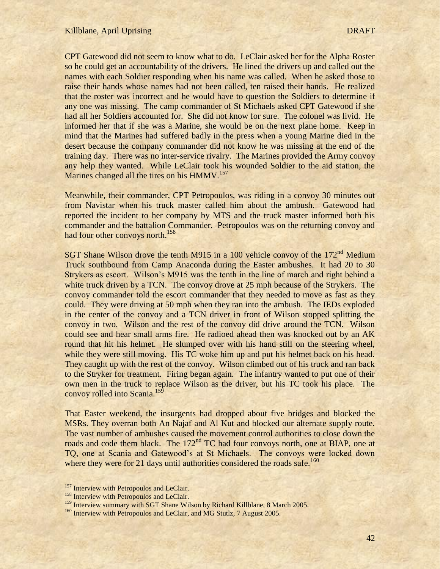CPT Gatewood did not seem to know what to do. LeClair asked her for the Alpha Roster so he could get an accountability of the drivers. He lined the drivers up and called out the names with each Soldier responding when his name was called. When he asked those to raise their hands whose names had not been called, ten raised their hands. He realized that the roster was incorrect and he would have to question the Soldiers to determine if any one was missing. The camp commander of St Michaels asked CPT Gatewood if she had all her Soldiers accounted for. She did not know for sure. The colonel was livid. He informed her that if she was a Marine, she would be on the next plane home. Keep in mind that the Marines had suffered badly in the press when a young Marine died in the desert because the company commander did not know he was missing at the end of the training day. There was no inter-service rivalry. The Marines provided the Army convoy any help they wanted. While LeClair took his wounded Soldier to the aid station, the Marines changed all the tires on his HMMV.<sup>157</sup>

Meanwhile, their commander, CPT Petropoulos, was riding in a convoy 30 minutes out from Navistar when his truck master called him about the ambush. Gatewood had reported the incident to her company by MTS and the truck master informed both his commander and the battalion Commander. Petropoulos was on the returning convoy and had four other convoys north.<sup>158</sup>

SGT Shane Wilson drove the tenth M915 in a 100 vehicle convoy of the  $172<sup>nd</sup>$  Medium Truck southbound from Camp Anaconda during the Easter ambushes. It had 20 to 30 Strykers as escort. Wilson"s M915 was the tenth in the line of march and right behind a white truck driven by a TCN. The convoy drove at 25 mph because of the Strykers. The convoy commander told the escort commander that they needed to move as fast as they could. They were driving at 50 mph when they ran into the ambush. The IEDs exploded in the center of the convoy and a TCN driver in front of Wilson stopped splitting the convoy in two. Wilson and the rest of the convoy did drive around the TCN. Wilson could see and hear small arms fire. He radioed ahead then was knocked out by an AK round that hit his helmet. He slumped over with his hand still on the steering wheel, while they were still moving. His TC woke him up and put his helmet back on his head. They caught up with the rest of the convoy. Wilson climbed out of his truck and ran back to the Stryker for treatment. Firing began again. The infantry wanted to put one of their own men in the truck to replace Wilson as the driver, but his TC took his place. The convoy rolled into Scania.<sup>159</sup>

That Easter weekend, the insurgents had dropped about five bridges and blocked the MSRs. They overran both An Najaf and Al Kut and blocked our alternate supply route. The vast number of ambushes caused the movement control authorities to close down the roads and code them black. The 172<sup>nd</sup> TC had four convoys north, one at BIAP, one at TQ, one at Scania and Gatewood"s at St Michaels. The convoys were locked down where they were for 21 days until authorities considered the roads safe.<sup>160</sup>

<sup>&</sup>lt;sup>157</sup> Interview with Petropoulos and LeClair.

<sup>&</sup>lt;sup>158</sup> Interview with Petropoulos and LeClair.

<sup>&</sup>lt;sup>159</sup> Interview summary with SGT Shane Wilson by Richard Killblane, 8 March 2005.

<sup>&</sup>lt;sup>160</sup> Interview with Petropoulos and LeClair, and MG Stutlz, 7 August 2005.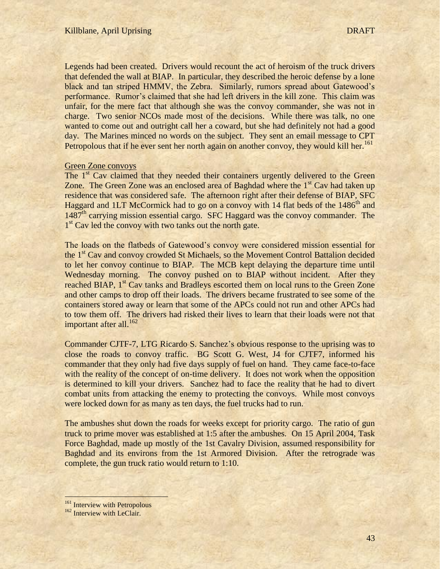Legends had been created. Drivers would recount the act of heroism of the truck drivers that defended the wall at BIAP. In particular, they described the heroic defense by a lone black and tan striped HMMV, the Zebra. Similarly, rumors spread about Gatewood"s performance. Rumor"s claimed that she had left drivers in the kill zone. This claim was unfair, for the mere fact that although she was the convoy commander, she was not in charge. Two senior NCOs made most of the decisions. While there was talk, no one wanted to come out and outright call her a coward, but she had definitely not had a good day. The Marines minced no words on the subject. They sent an email message to CPT Petropolous that if he ever sent her north again on another convoy, they would kill her.<sup>161</sup>

### Green Zone convoys

The 1<sup>st</sup> Cav claimed that they needed their containers urgently delivered to the Green Zone. The Green Zone was an enclosed area of Baghdad where the 1<sup>st</sup> Cav had taken up residence that was considered safe. The afternoon right after their defense of BIAP, SFC Haggard and 1LT McCormick had to go on a convoy with 14 flat beds of the 1486<sup>th</sup> and  $1487<sup>th</sup>$  carrying mission essential cargo. SFC Haggard was the convoy commander. The 1<sup>st</sup> Cav led the convoy with two tanks out the north gate.

The loads on the flatbeds of Gatewood's convoy were considered mission essential for the 1<sup>st</sup> Cav and convoy crowded St Michaels, so the Movement Control Battalion decided to let her convoy continue to BIAP. The MCB kept delaying the departure time until Wednesday morning. The convoy pushed on to BIAP without incident. After they reached BIAP, 1<sup>st</sup> Cav tanks and Bradleys escorted them on local runs to the Green Zone and other camps to drop off their loads. The drivers became frustrated to see some of the containers stored away or learn that some of the APCs could not run and other APCs had to tow them off. The drivers had risked their lives to learn that their loads were not that important after all. $^{162}$ 

Commander CJTF-7, LTG Ricardo S. Sanchez"s obvious response to the uprising was to close the roads to convoy traffic. BG Scott G. West, J4 for CJTF7, informed his commander that they only had five days supply of fuel on hand. They came face-to-face with the reality of the concept of on-time delivery. It does not work when the opposition is determined to kill your drivers. Sanchez had to face the reality that he had to divert combat units from attacking the enemy to protecting the convoys. While most convoys were locked down for as many as ten days, the fuel trucks had to run.

The ambushes shut down the roads for weeks except for priority cargo. The ratio of gun truck to prime mover was established at 1:5 after the ambushes. On 15 April 2004, Task Force Baghdad, made up mostly of the 1st Cavalry Division, assumed responsibility for Baghdad and its environs from the 1st Armored Division. After the retrograde was complete, the gun truck ratio would return to 1:10.

<sup>&</sup>lt;sup>161</sup> Interview with Petropolous

<sup>&</sup>lt;sup>162</sup> Interview with LeClair.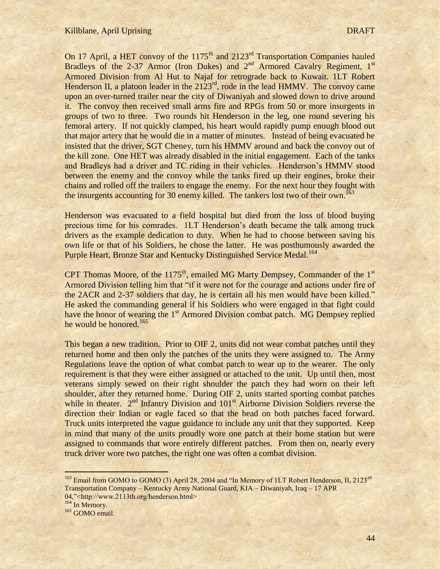On 17 April, a HET convoy of the  $1175<sup>th</sup>$  and  $2123<sup>rd</sup>$  Transportation Companies hauled Bradleys of the 2-37 Armor (Iron Dukes) and  $2<sup>nd</sup>$  Armored Cavalry Regiment, 1<sup>st</sup> Armored Division from Al Hut to Najaf for retrograde back to Kuwait. 1LT Robert Henderson II, a platoon leader in the 2123<sup>rd</sup>, rode in the lead HMMV. The convoy came upon an over-turned trailer near the city of Diwaniyah and slowed down to drive around it. The convoy then received small arms fire and RPGs from 50 or more insurgents in groups of two to three. Two rounds hit Henderson in the leg, one round severing his femoral artery. If not quickly clamped, his heart would rapidly pump enough blood out that major artery that he would die in a matter of minutes. Instead of being evacuated he insisted that the driver, SGT Cheney, turn his HMMV around and back the convoy out of the kill zone. One HET was already disabled in the initial engagement. Each of the tanks and Bradleys had a driver and TC riding in their vehicles. Henderson"s HMMV stood between the enemy and the convoy while the tanks fired up their engines, broke their chains and rolled off the trailers to engage the enemy. For the next hour they fought with the insurgents accounting for 30 enemy killed. The tankers lost two of their own.<sup>163</sup>

Henderson was evacuated to a field hospital but died from the loss of blood buying precious time for his comrades. 1LT Henderson's death became the talk among truck drivers as the example dedication to duty. When he had to choose between saving his own life or that of his Soldiers, he chose the latter. He was posthumously awarded the Purple Heart, Bronze Star and Kentucky Distinguished Service Medal.<sup>164</sup>

CPT Thomas Moore, of the  $1175<sup>th</sup>$ , emailed MG Marty Dempsey, Commander of the  $1<sup>st</sup>$ Armored Division telling him that "if it were not for the courage and actions under fire of the 2ACR and 2-37 soldiers that day, he is certain all his men would have been killed." He asked the commanding general if his Soldiers who were engaged in that fight could have the honor of wearing the 1<sup>st</sup> Armored Division combat patch. MG Dempsey replied he would be honored.<sup>165</sup>

This began a new tradition. Prior to OIF 2, units did not wear combat patches until they returned home and then only the patches of the units they were assigned to. The Army Regulations leave the option of what combat patch to wear up to the wearer. The only requirement is that they were either assigned or attached to the unit. Up until then, most veterans simply sewed on their right shoulder the patch they had worn on their left shoulder, after they returned home. During OIF 2, units started sporting combat patches while in theater.  $2<sup>nd</sup>$  Infantry Division and  $101<sup>st</sup>$  Airborne Division Soldiers reverse the direction their Indian or eagle faced so that the head on both patches faced forward. Truck units interpreted the vague guidance to include any unit that they supported. Keep in mind that many of the units proudly wore one patch at their home station but were assigned to commands that wore entirely different patches. From then on, nearly every truck driver wore two patches, the right one was often a combat division.

<sup>164</sup> In Memory.

<sup>&</sup>lt;sup>163</sup> Email from GOMO to GOMO (3) April 28, 2004 and "In Memory of 1LT Robert Henderson, II, 2123<sup>rd</sup> Transportation Company – Kentucky Army National Guard, KIA – Diwaniyah, Iraq – 17 APR 04,"<http://www.2113th.org/henderson.html>

<sup>&</sup>lt;sup>165</sup> GOMO email.